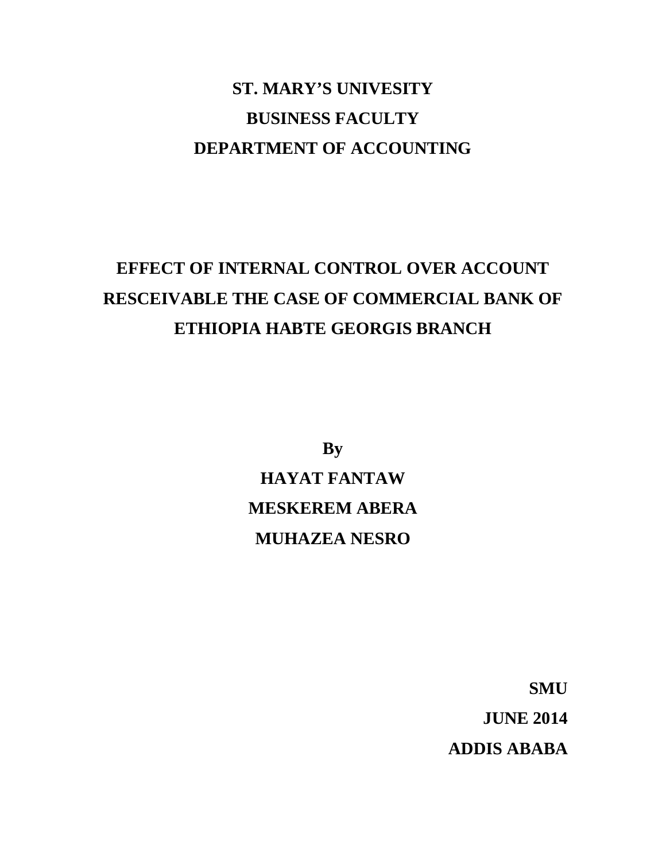# **ST. MARY'S UNIVESITY BUSINESS FACULTY DEPARTMENT OF ACCOUNTING**

# **EFFECT OF INTERNAL CONTROL OVER ACCOUNT RESCEIVABLE THE CASE OF COMMERCIAL BANK OF ETHIOPIA HABTE GEORGIS BRANCH**

**By HAYAT FANTAW MESKEREM ABERA MUHAZEA NESRO**

> **SMU JUNE 2014 ADDIS ABABA**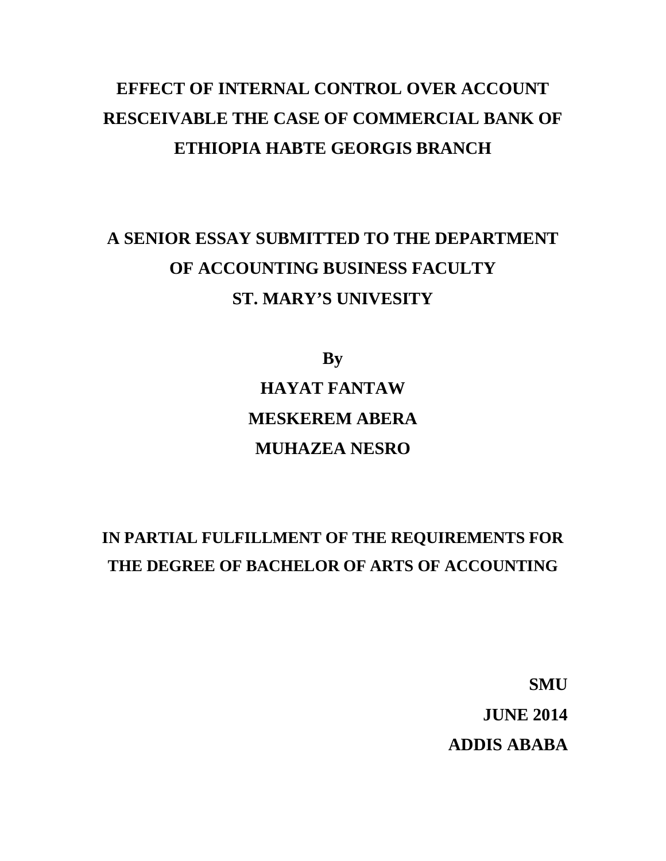# **EFFECT OF INTERNAL CONTROL OVER ACCOUNT RESCEIVABLE THE CASE OF COMMERCIAL BANK OF ETHIOPIA HABTE GEORGIS BRANCH**

# **A SENIOR ESSAY SUBMITTED TO THE DEPARTMENT OF ACCOUNTING BUSINESS FACULTY ST. MARY'S UNIVESITY**

**By HAYAT FANTAW MESKEREM ABERA MUHAZEA NESRO**

## **IN PARTIAL FULFILLMENT OF THE REQUIREMENTS FOR THE DEGREE OF BACHELOR OF ARTS OF ACCOUNTING**

**SMU JUNE 2014 ADDIS ABABA**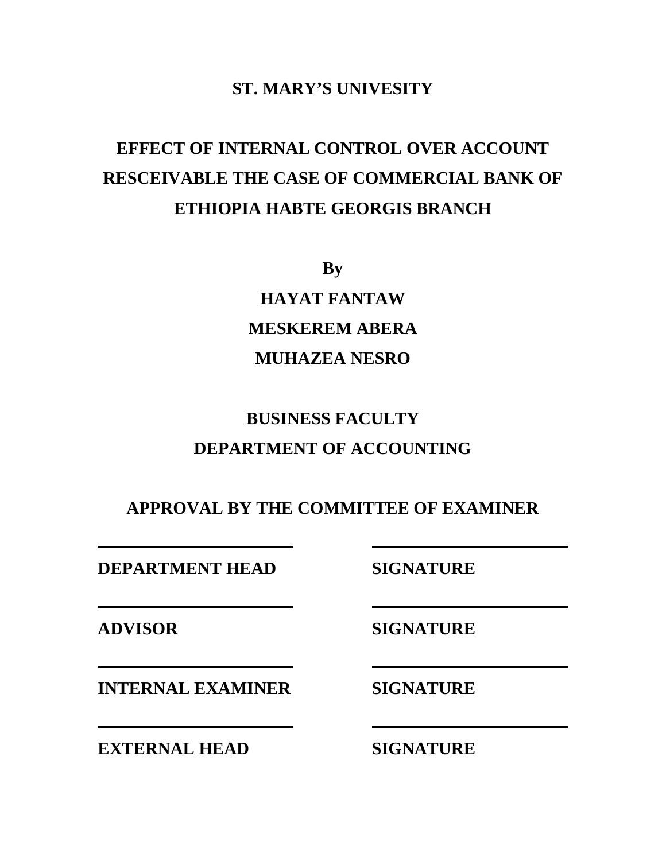## **ST. MARY'S UNIVESITY**

# **EFFECT OF INTERNAL CONTROL OVER ACCOUNT RESCEIVABLE THE CASE OF COMMERCIAL BANK OF ETHIOPIA HABTE GEORGIS BRANCH**

**By**

**HAYAT FANTAW MESKEREM ABERA MUHAZEA NESRO**

## **BUSINESS FACULTY DEPARTMENT OF ACCOUNTING**

**APPROVAL BY THE COMMITTEE OF EXAMINER**

**DEPARTMENT HEAD SIGNATURE**

**ADVISOR SIGNATURE**

**INTERNAL EXAMINER SIGNATURE**

**EXTERNAL HEAD SIGNATURE**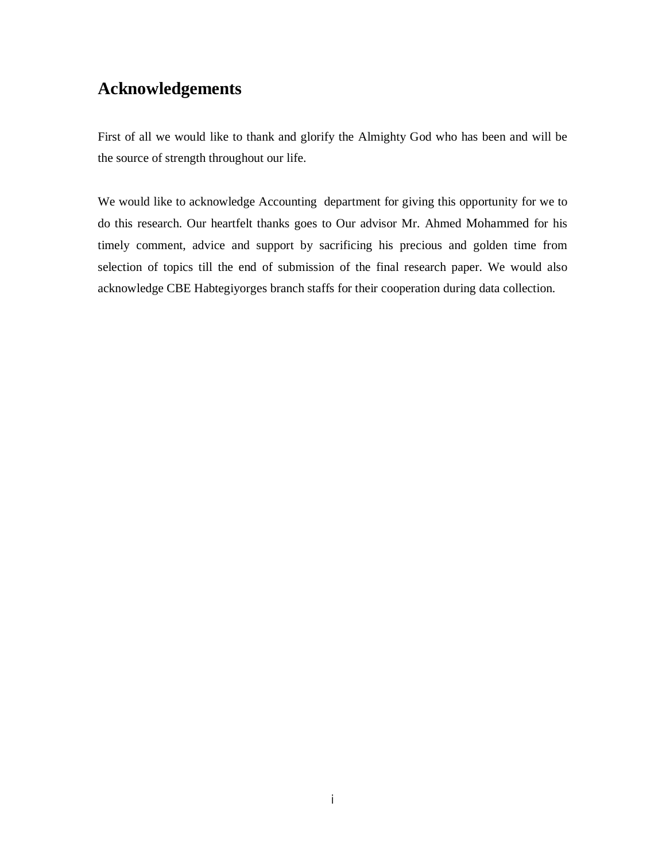## **Acknowledgements**

First of all we would like to thank and glorify the Almighty God who has been and will be the source of strength throughout our life.

We would like to acknowledge Accounting department for giving this opportunity for we to do this research. Our heartfelt thanks goes to Our advisor Mr. Ahmed Mohammed for his timely comment, advice and support by sacrificing his precious and golden time from selection of topics till the end of submission of the final research paper. We would also acknowledge CBE Habtegiyorges branch staffs for their cooperation during data collection.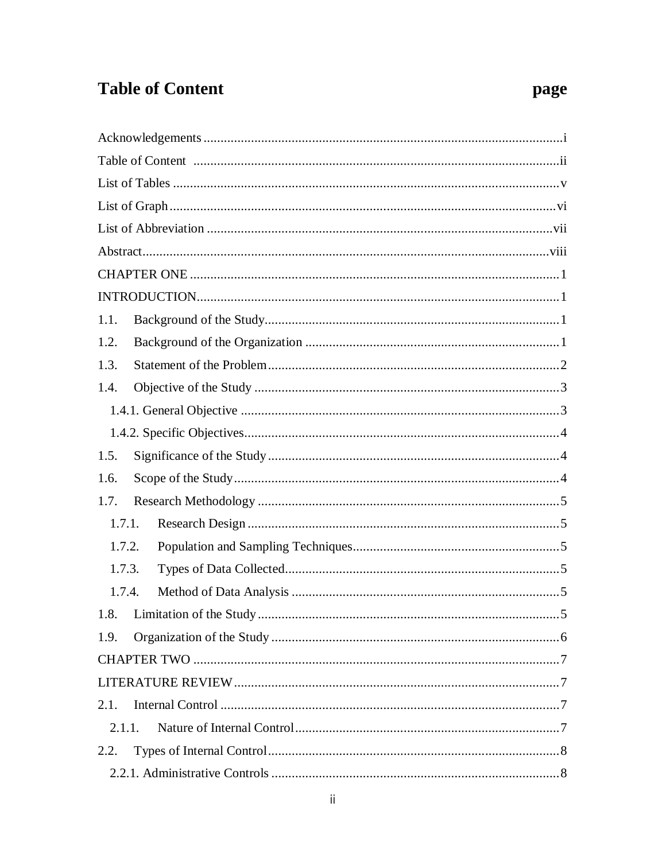## **Table of Content**

| 1.1.   |  |
|--------|--|
| 1.2.   |  |
| 1.3.   |  |
| 1.4.   |  |
|        |  |
|        |  |
| 1.5.   |  |
| 1.6.   |  |
| 1.7.   |  |
| 1.7.1. |  |
| 1.7.2. |  |
| 1.7.3. |  |
| 1.7.4. |  |
|        |  |
| 1.9.   |  |
|        |  |
|        |  |
| 2.1.   |  |
| 2.1.1. |  |
| 2.2.   |  |
|        |  |

## page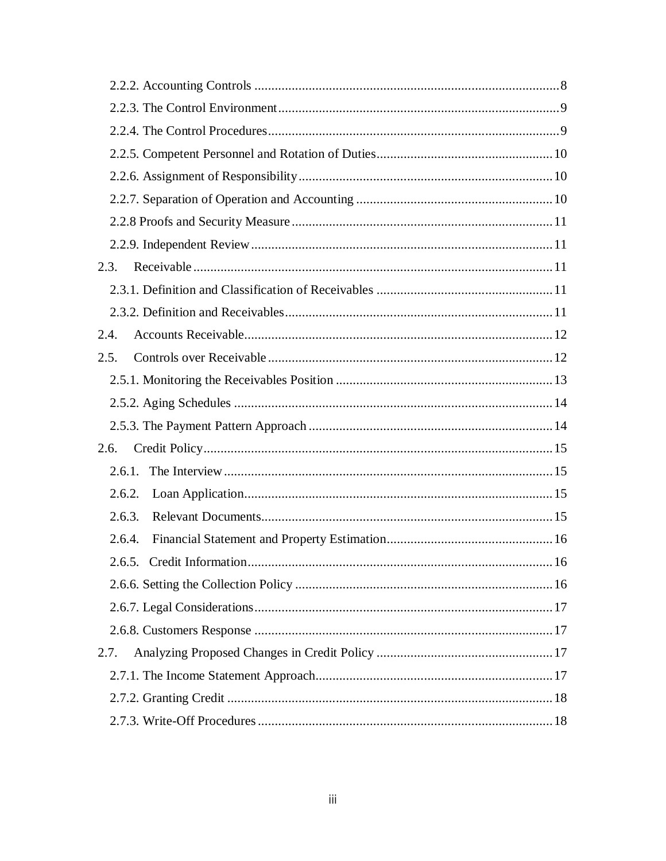| 2.3.                       |     |
|----------------------------|-----|
|                            |     |
|                            |     |
| 2.4.                       |     |
| 2.5.                       |     |
|                            |     |
|                            |     |
|                            |     |
| 2.6.                       |     |
| 2.6.1.                     |     |
| 2.6.2.                     |     |
| 2.6.3.                     |     |
| 2.6.4.                     |     |
| 2.6.5. Credit Information. | .16 |
|                            |     |
|                            |     |
|                            |     |
| 2.7.                       |     |
|                            |     |
|                            |     |
|                            |     |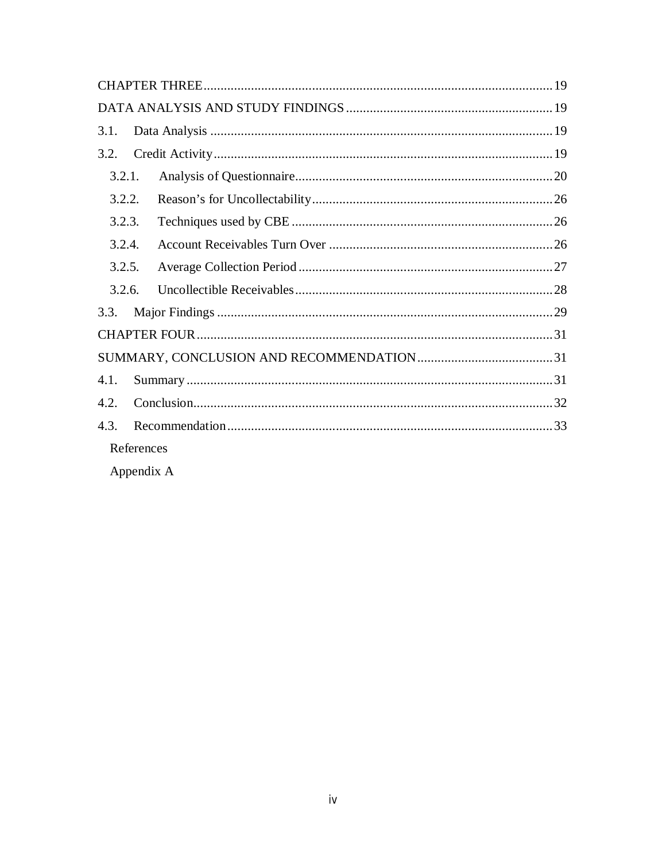| 3.1.       |  |
|------------|--|
| 3.2.       |  |
| 3.2.1.     |  |
| 3.2.2.     |  |
| 3.2.3.     |  |
| 3.2.4.     |  |
| 3.2.5.     |  |
| 3.2.6.     |  |
| 3.3.       |  |
|            |  |
|            |  |
| 4.1.       |  |
| 4.2.       |  |
| 4.3.       |  |
| References |  |

Appendix A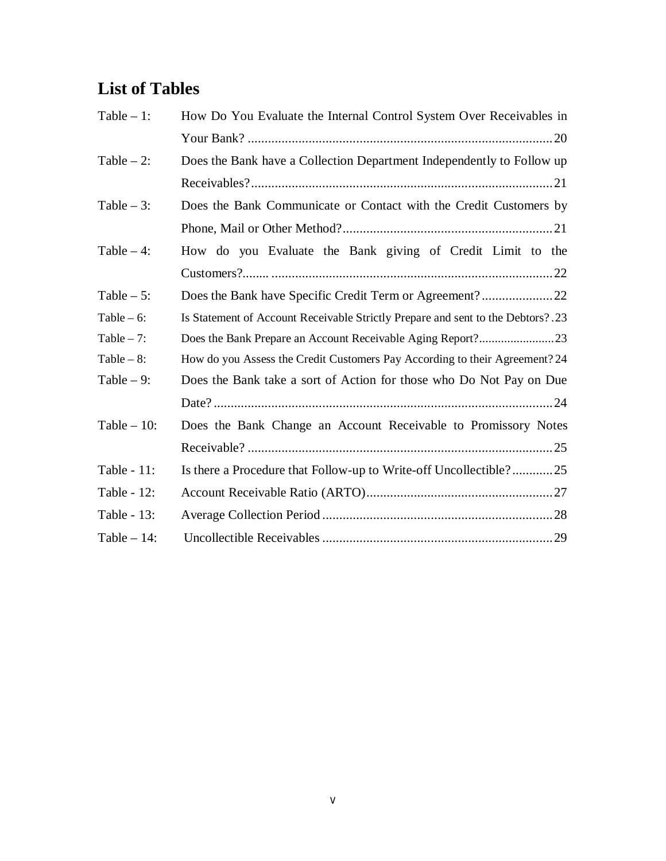## **List of Tables**

| Table $-1$ :  | How Do You Evaluate the Internal Control System Over Receivables in             |
|---------------|---------------------------------------------------------------------------------|
|               |                                                                                 |
| Table $-2$ :  | Does the Bank have a Collection Department Independently to Follow up           |
|               |                                                                                 |
| Table $-3$ :  | Does the Bank Communicate or Contact with the Credit Customers by               |
|               |                                                                                 |
| Table $-4$ :  | How do you Evaluate the Bank giving of Credit Limit to the                      |
|               |                                                                                 |
| Table $-5$ :  |                                                                                 |
| Table $-6$ :  | Is Statement of Account Receivable Strictly Prepare and sent to the Debtors?.23 |
| Table $-7$ :  |                                                                                 |
| Table $-8$ :  | How do you Assess the Credit Customers Pay According to their Agreement? 24     |
| Table $-9$ :  | Does the Bank take a sort of Action for those who Do Not Pay on Due             |
|               |                                                                                 |
| Table $-10$ : | Does the Bank Change an Account Receivable to Promissory Notes                  |
|               |                                                                                 |
| Table - 11:   | Is there a Procedure that Follow-up to Write-off Uncollectible?25               |
| Table - 12:   |                                                                                 |
| Table - 13:   |                                                                                 |
| Table $-14$ : |                                                                                 |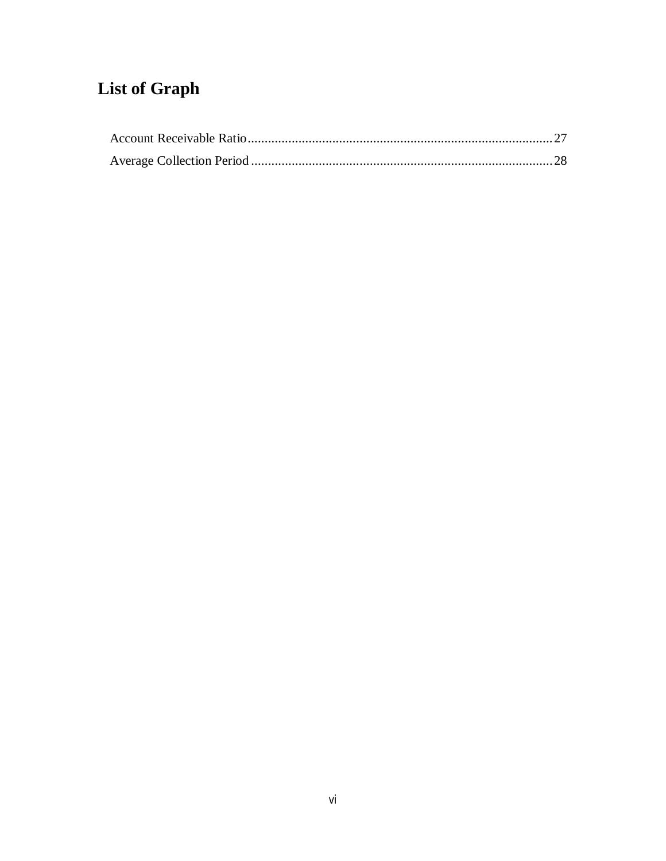# **List of Graph**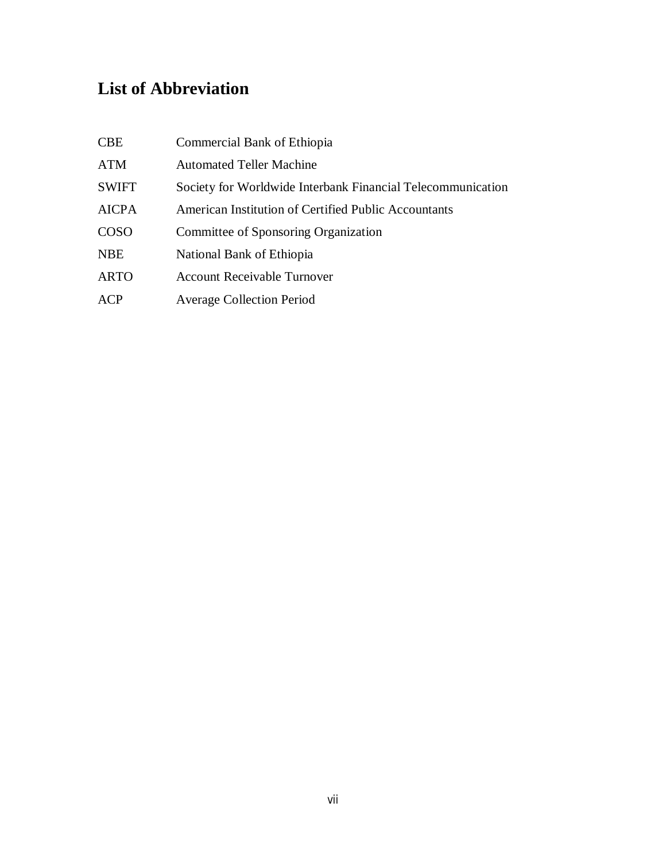## **List of Abbreviation**

| <b>CBE</b>   | Commercial Bank of Ethiopia                                 |
|--------------|-------------------------------------------------------------|
| ATM          | <b>Automated Teller Machine</b>                             |
| <b>SWIFT</b> | Society for Worldwide Interbank Financial Telecommunication |
| <b>AICPA</b> | American Institution of Certified Public Accountants        |
| <b>COSO</b>  | Committee of Sponsoring Organization                        |
| <b>NBE</b>   | National Bank of Ethiopia                                   |
| <b>ARTO</b>  | <b>Account Receivable Turnover</b>                          |
| ACP          | <b>Average Collection Period</b>                            |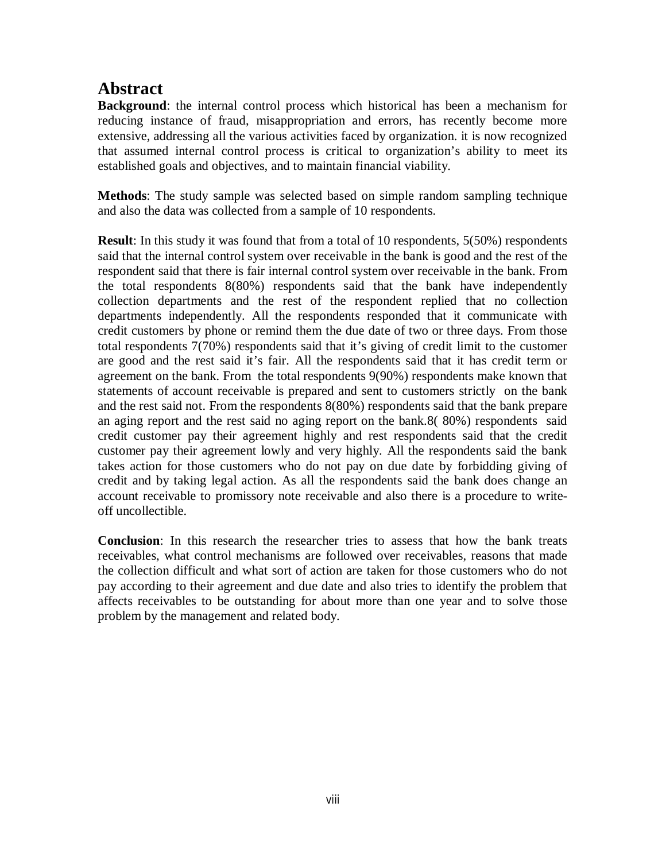## **Abstract**

**Background**: the internal control process which historical has been a mechanism for reducing instance of fraud, misappropriation and errors, has recently become more extensive, addressing all the various activities faced by organization. it is now recognized that assumed internal control process is critical to organization's ability to meet its established goals and objectives, and to maintain financial viability.

**Methods**: The study sample was selected based on simple random sampling technique and also the data was collected from a sample of 10 respondents.

**Result**: In this study it was found that from a total of 10 respondents, 5(50%) respondents said that the internal control system over receivable in the bank is good and the rest of the respondent said that there is fair internal control system over receivable in the bank. From the total respondents 8(80%) respondents said that the bank have independently collection departments and the rest of the respondent replied that no collection departments independently. All the respondents responded that it communicate with credit customers by phone or remind them the due date of two or three days. From those total respondents 7(70%) respondents said that it's giving of credit limit to the customer are good and the rest said it's fair. All the respondents said that it has credit term or agreement on the bank. From the total respondents 9(90%) respondents make known that statements of account receivable is prepared and sent to customers strictly on the bank and the rest said not. From the respondents 8(80%) respondents said that the bank prepare an aging report and the rest said no aging report on the bank.8( 80%) respondents said credit customer pay their agreement highly and rest respondents said that the credit customer pay their agreement lowly and very highly. All the respondents said the bank takes action for those customers who do not pay on due date by forbidding giving of credit and by taking legal action. As all the respondents said the bank does change an account receivable to promissory note receivable and also there is a procedure to writeoff uncollectible.

**Conclusion**: In this research the researcher tries to assess that how the bank treats receivables, what control mechanisms are followed over receivables, reasons that made the collection difficult and what sort of action are taken for those customers who do not pay according to their agreement and due date and also tries to identify the problem that affects receivables to be outstanding for about more than one year and to solve those problem by the management and related body.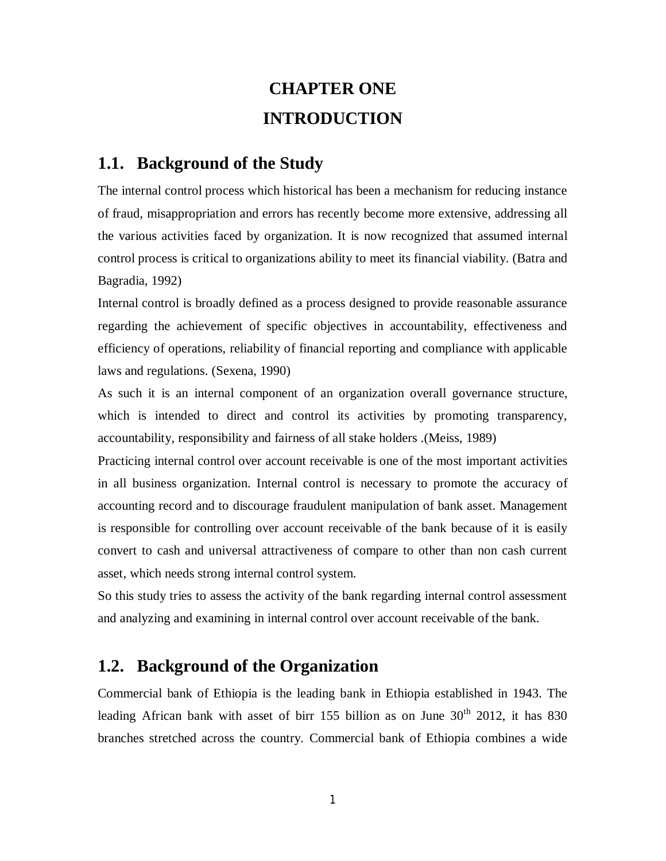## **CHAPTER ONE INTRODUCTION**

### **1.1. Background of the Study**

The internal control process which historical has been a mechanism for reducing instance of fraud, misappropriation and errors has recently become more extensive, addressing all the various activities faced by organization. It is now recognized that assumed internal control process is critical to organizations ability to meet its financial viability. (Batra and Bagradia, 1992)

Internal control is broadly defined as a process designed to provide reasonable assurance regarding the achievement of specific objectives in accountability, effectiveness and efficiency of operations, reliability of financial reporting and compliance with applicable laws and regulations. (Sexena, 1990)

As such it is an internal component of an organization overall governance structure, which is intended to direct and control its activities by promoting transparency, accountability, responsibility and fairness of all stake holders .(Meiss, 1989)

Practicing internal control over account receivable is one of the most important activities in all business organization. Internal control is necessary to promote the accuracy of accounting record and to discourage fraudulent manipulation of bank asset. Management is responsible for controlling over account receivable of the bank because of it is easily convert to cash and universal attractiveness of compare to other than non cash current asset, which needs strong internal control system.

So this study tries to assess the activity of the bank regarding internal control assessment and analyzing and examining in internal control over account receivable of the bank.

## **1.2. Background of the Organization**

Commercial bank of Ethiopia is the leading bank in Ethiopia established in 1943. The leading African bank with asset of birr 155 billion as on June  $30<sup>th</sup>$  2012, it has 830 branches stretched across the country. Commercial bank of Ethiopia combines a wide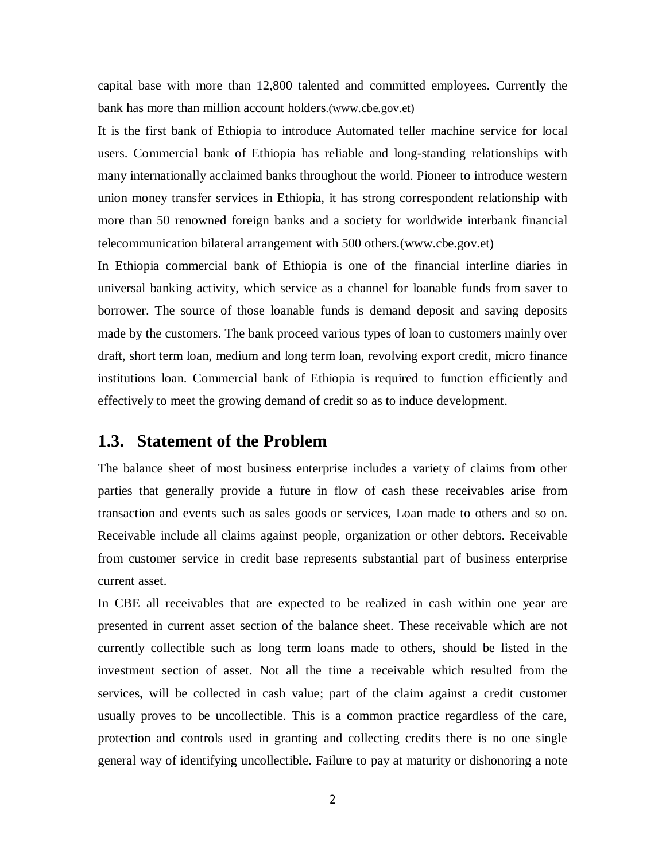capital base with more than 12,800 talented and committed employees. Currently the bank has more than million account holders.(www.cbe.gov.et)

It is the first bank of Ethiopia to introduce Automated teller machine service for local users. Commercial bank of Ethiopia has reliable and long-standing relationships with many internationally acclaimed banks throughout the world. Pioneer to introduce western union money transfer services in Ethiopia, it has strong correspondent relationship with more than 50 renowned foreign banks and a society for worldwide interbank financial telecommunication bilateral arrangement with 500 others.(www.cbe.gov.et)

In Ethiopia commercial bank of Ethiopia is one of the financial interline diaries in universal banking activity, which service as a channel for loanable funds from saver to borrower. The source of those loanable funds is demand deposit and saving deposits made by the customers. The bank proceed various types of loan to customers mainly over draft, short term loan, medium and long term loan, revolving export credit, micro finance institutions loan. Commercial bank of Ethiopia is required to function efficiently and effectively to meet the growing demand of credit so as to induce development.

#### **1.3. Statement of the Problem**

The balance sheet of most business enterprise includes a variety of claims from other parties that generally provide a future in flow of cash these receivables arise from transaction and events such as sales goods or services, Loan made to others and so on. Receivable include all claims against people, organization or other debtors. Receivable from customer service in credit base represents substantial part of business enterprise current asset.

In CBE all receivables that are expected to be realized in cash within one year are presented in current asset section of the balance sheet. These receivable which are not currently collectible such as long term loans made to others, should be listed in the investment section of asset. Not all the time a receivable which resulted from the services, will be collected in cash value; part of the claim against a credit customer usually proves to be uncollectible. This is a common practice regardless of the care, protection and controls used in granting and collecting credits there is no one single general way of identifying uncollectible. Failure to pay at maturity or dishonoring a note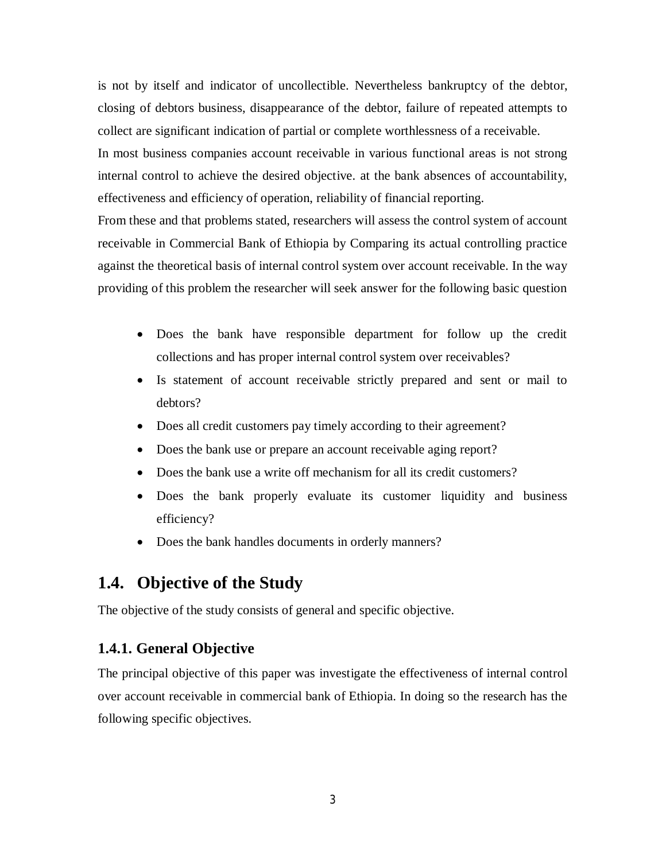is not by itself and indicator of uncollectible. Nevertheless bankruptcy of the debtor, closing of debtors business, disappearance of the debtor, failure of repeated attempts to collect are significant indication of partial or complete worthlessness of a receivable. In most business companies account receivable in various functional areas is not strong internal control to achieve the desired objective. at the bank absences of accountability, effectiveness and efficiency of operation, reliability of financial reporting.

From these and that problems stated, researchers will assess the control system of account receivable in Commercial Bank of Ethiopia by Comparing its actual controlling practice against the theoretical basis of internal control system over account receivable. In the way providing of this problem the researcher will seek answer for the following basic question

- Does the bank have responsible department for follow up the credit collections and has proper internal control system over receivables?
- Is statement of account receivable strictly prepared and sent or mail to debtors?
- Does all credit customers pay timely according to their agreement?
- Does the bank use or prepare an account receivable aging report?
- Does the bank use a write off mechanism for all its credit customers?
- Does the bank properly evaluate its customer liquidity and business efficiency?
- Does the bank handles documents in orderly manners?

## **1.4. Objective of the Study**

The objective of the study consists of general and specific objective.

#### **1.4.1. General Objective**

The principal objective of this paper was investigate the effectiveness of internal control over account receivable in commercial bank of Ethiopia. In doing so the research has the following specific objectives.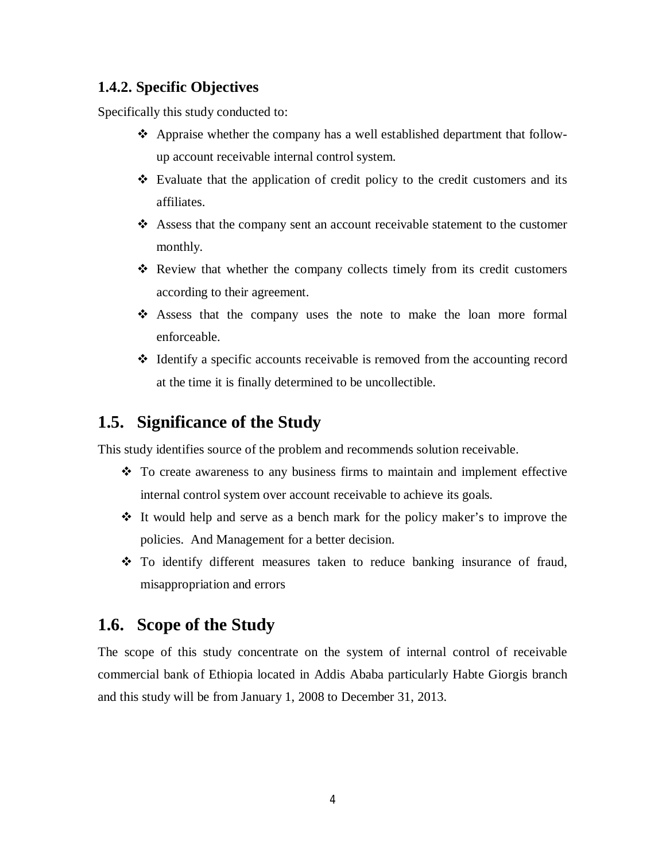#### **1.4.2. Specific Objectives**

Specifically this study conducted to:

- Appraise whether the company has a well established department that followup account receivable internal control system.
- $\triangle$  Evaluate that the application of credit policy to the credit customers and its affiliates.
- Assess that the company sent an account receivable statement to the customer monthly.
- $\div$  Review that whether the company collects timely from its credit customers according to their agreement.
- Assess that the company uses the note to make the loan more formal enforceable.
- $\div$  Identify a specific accounts receivable is removed from the accounting record at the time it is finally determined to be uncollectible.

## **1.5. Significance of the Study**

This study identifies source of the problem and recommends solution receivable.

- To create awareness to any business firms to maintain and implement effective internal control system over account receivable to achieve its goals.
- $\div$  It would help and serve as a bench mark for the policy maker's to improve the policies. And Management for a better decision.
- To identify different measures taken to reduce banking insurance of fraud, misappropriation and errors

## **1.6. Scope of the Study**

The scope of this study concentrate on the system of internal control of receivable commercial bank of Ethiopia located in Addis Ababa particularly Habte Giorgis branch and this study will be from January 1, 2008 to December 31, 2013.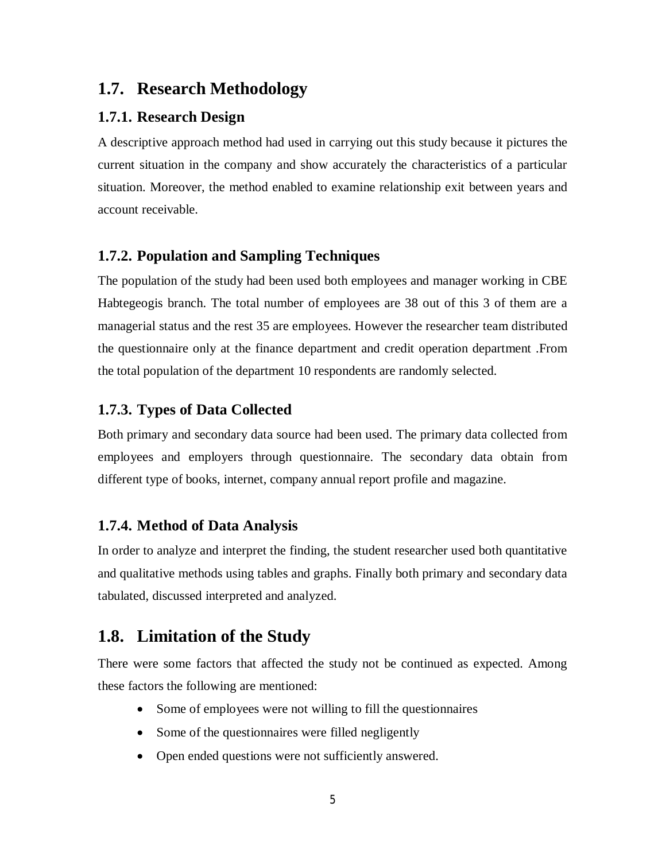## **1.7. Research Methodology**

#### **1.7.1. Research Design**

A descriptive approach method had used in carrying out this study because it pictures the current situation in the company and show accurately the characteristics of a particular situation. Moreover, the method enabled to examine relationship exit between years and account receivable.

#### **1.7.2. Population and Sampling Techniques**

The population of the study had been used both employees and manager working in CBE Habtegeogis branch. The total number of employees are 38 out of this 3 of them are a managerial status and the rest 35 are employees. However the researcher team distributed the questionnaire only at the finance department and credit operation department .From the total population of the department 10 respondents are randomly selected.

#### **1.7.3. Types of Data Collected**

Both primary and secondary data source had been used. The primary data collected from employees and employers through questionnaire. The secondary data obtain from different type of books, internet, company annual report profile and magazine.

#### **1.7.4. Method of Data Analysis**

In order to analyze and interpret the finding, the student researcher used both quantitative and qualitative methods using tables and graphs. Finally both primary and secondary data tabulated, discussed interpreted and analyzed.

## **1.8. Limitation of the Study**

There were some factors that affected the study not be continued as expected. Among these factors the following are mentioned:

- Some of employees were not willing to fill the questionnaires
- Some of the questionnaires were filled negligently
- Open ended questions were not sufficiently answered.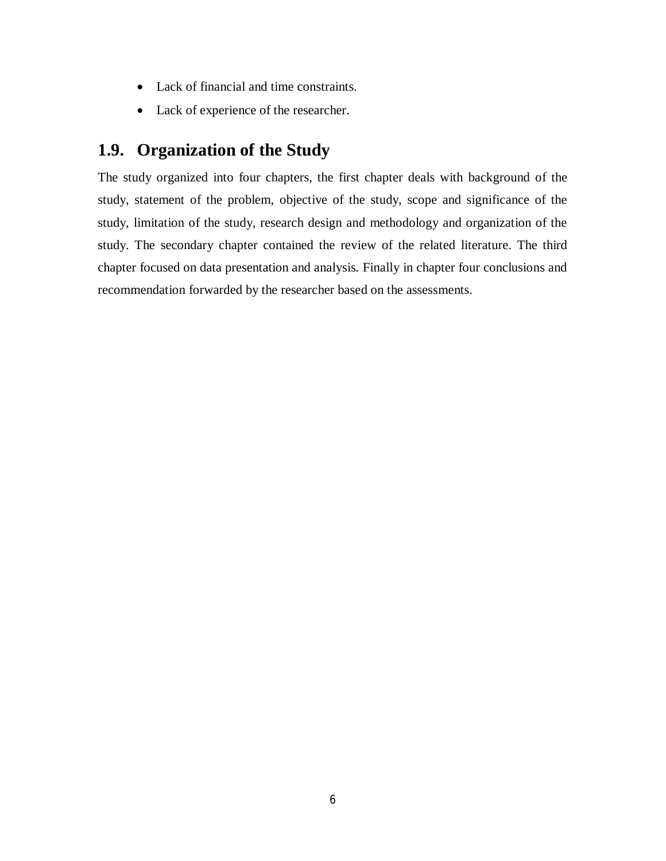- Lack of financial and time constraints.
- Lack of experience of the researcher.

## **1.9. Organization of the Study**

The study organized into four chapters, the first chapter deals with background of the study, statement of the problem, objective of the study, scope and significance of the study, limitation of the study, research design and methodology and organization of the study. The secondary chapter contained the review of the related literature. The third chapter focused on data presentation and analysis. Finally in chapter four conclusions and recommendation forwarded by the researcher based on the assessments.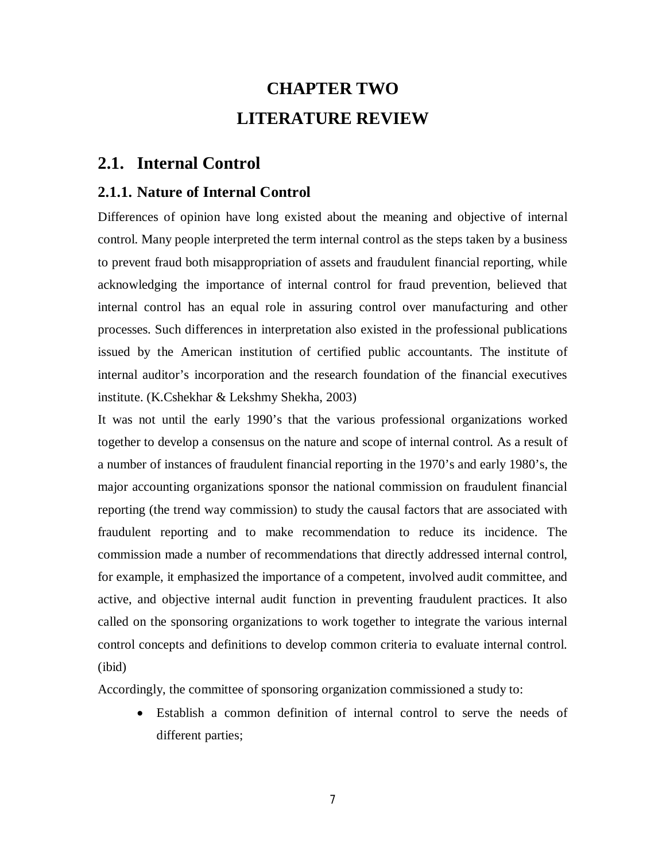## **CHAPTER TWO LITERATURE REVIEW**

### **2.1. Internal Control**

#### **2.1.1. Nature of Internal Control**

Differences of opinion have long existed about the meaning and objective of internal control. Many people interpreted the term internal control as the steps taken by a business to prevent fraud both misappropriation of assets and fraudulent financial reporting, while acknowledging the importance of internal control for fraud prevention, believed that internal control has an equal role in assuring control over manufacturing and other processes. Such differences in interpretation also existed in the professional publications issued by the American institution of certified public accountants. The institute of internal auditor's incorporation and the research foundation of the financial executives institute. (K.Cshekhar & Lekshmy Shekha, 2003)

It was not until the early 1990's that the various professional organizations worked together to develop a consensus on the nature and scope of internal control. As a result of a number of instances of fraudulent financial reporting in the 1970's and early 1980's, the major accounting organizations sponsor the national commission on fraudulent financial reporting (the trend way commission) to study the causal factors that are associated with fraudulent reporting and to make recommendation to reduce its incidence. The commission made a number of recommendations that directly addressed internal control, for example, it emphasized the importance of a competent, involved audit committee, and active, and objective internal audit function in preventing fraudulent practices. It also called on the sponsoring organizations to work together to integrate the various internal control concepts and definitions to develop common criteria to evaluate internal control. (ibid)

Accordingly, the committee of sponsoring organization commissioned a study to:

 Establish a common definition of internal control to serve the needs of different parties;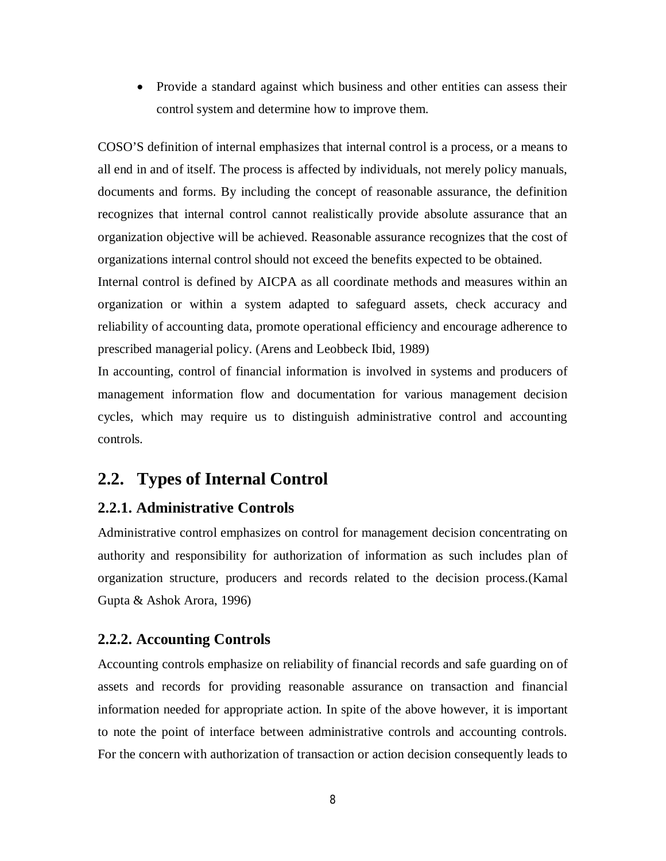• Provide a standard against which business and other entities can assess their control system and determine how to improve them.

COSO'S definition of internal emphasizes that internal control is a process, or a means to all end in and of itself. The process is affected by individuals, not merely policy manuals, documents and forms. By including the concept of reasonable assurance, the definition recognizes that internal control cannot realistically provide absolute assurance that an organization objective will be achieved. Reasonable assurance recognizes that the cost of organizations internal control should not exceed the benefits expected to be obtained.

Internal control is defined by AICPA as all coordinate methods and measures within an organization or within a system adapted to safeguard assets, check accuracy and reliability of accounting data, promote operational efficiency and encourage adherence to prescribed managerial policy. (Arens and Leobbeck Ibid, 1989)

In accounting, control of financial information is involved in systems and producers of management information flow and documentation for various management decision cycles, which may require us to distinguish administrative control and accounting controls.

## **2.2. Types of Internal Control**

#### **2.2.1. Administrative Controls**

Administrative control emphasizes on control for management decision concentrating on authority and responsibility for authorization of information as such includes plan of organization structure, producers and records related to the decision process.(Kamal Gupta & Ashok Arora, 1996)

#### **2.2.2. Accounting Controls**

Accounting controls emphasize on reliability of financial records and safe guarding on of assets and records for providing reasonable assurance on transaction and financial information needed for appropriate action. In spite of the above however, it is important to note the point of interface between administrative controls and accounting controls. For the concern with authorization of transaction or action decision consequently leads to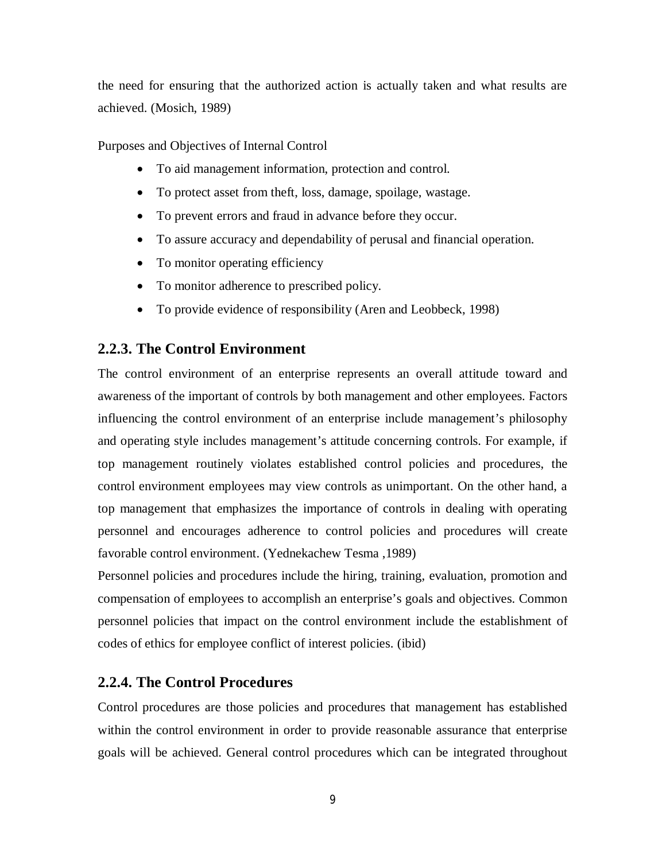the need for ensuring that the authorized action is actually taken and what results are achieved. (Mosich, 1989)

Purposes and Objectives of Internal Control

- To aid management information, protection and control.
- To protect asset from theft, loss, damage, spoilage, wastage.
- To prevent errors and fraud in advance before they occur.
- To assure accuracy and dependability of perusal and financial operation.
- To monitor operating efficiency
- To monitor adherence to prescribed policy.
- To provide evidence of responsibility (Aren and Leobbeck, 1998)

#### **2.2.3. The Control Environment**

The control environment of an enterprise represents an overall attitude toward and awareness of the important of controls by both management and other employees. Factors influencing the control environment of an enterprise include management's philosophy and operating style includes management's attitude concerning controls. For example, if top management routinely violates established control policies and procedures, the control environment employees may view controls as unimportant. On the other hand, a top management that emphasizes the importance of controls in dealing with operating personnel and encourages adherence to control policies and procedures will create favorable control environment. (Yednekachew Tesma ,1989)

Personnel policies and procedures include the hiring, training, evaluation, promotion and compensation of employees to accomplish an enterprise's goals and objectives. Common personnel policies that impact on the control environment include the establishment of codes of ethics for employee conflict of interest policies. (ibid)

#### **2.2.4. The Control Procedures**

Control procedures are those policies and procedures that management has established within the control environment in order to provide reasonable assurance that enterprise goals will be achieved. General control procedures which can be integrated throughout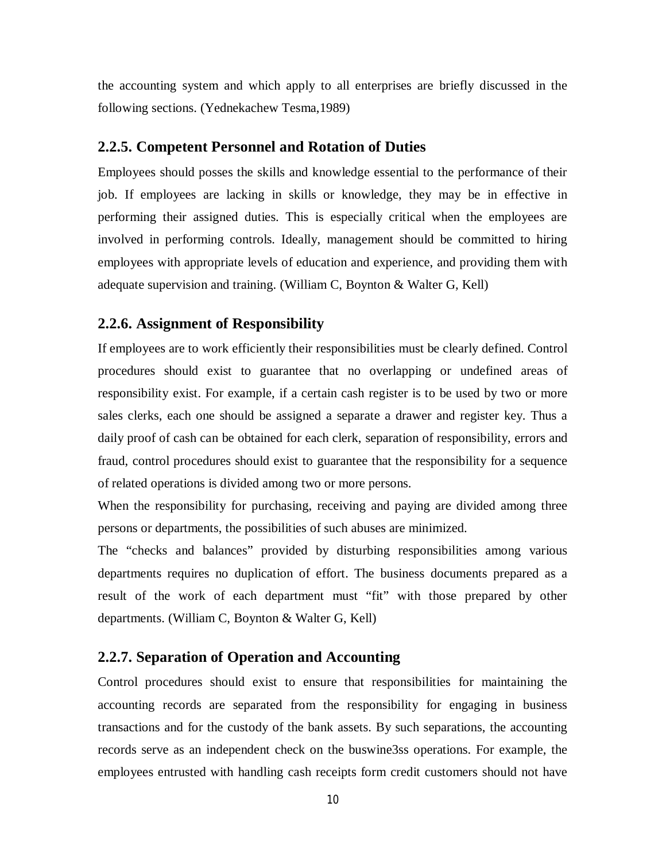the accounting system and which apply to all enterprises are briefly discussed in the following sections. (Yednekachew Tesma,1989)

#### **2.2.5. Competent Personnel and Rotation of Duties**

Employees should posses the skills and knowledge essential to the performance of their job. If employees are lacking in skills or knowledge, they may be in effective in performing their assigned duties. This is especially critical when the employees are involved in performing controls. Ideally, management should be committed to hiring employees with appropriate levels of education and experience, and providing them with adequate supervision and training. (William C, Boynton & Walter G, Kell)

#### **2.2.6. Assignment of Responsibility**

If employees are to work efficiently their responsibilities must be clearly defined. Control procedures should exist to guarantee that no overlapping or undefined areas of responsibility exist. For example, if a certain cash register is to be used by two or more sales clerks, each one should be assigned a separate a drawer and register key. Thus a daily proof of cash can be obtained for each clerk, separation of responsibility, errors and fraud, control procedures should exist to guarantee that the responsibility for a sequence of related operations is divided among two or more persons.

When the responsibility for purchasing, receiving and paying are divided among three persons or departments, the possibilities of such abuses are minimized.

The "checks and balances" provided by disturbing responsibilities among various departments requires no duplication of effort. The business documents prepared as a result of the work of each department must "fit" with those prepared by other departments. (William C, Boynton & Walter G, Kell)

#### **2.2.7. Separation of Operation and Accounting**

Control procedures should exist to ensure that responsibilities for maintaining the accounting records are separated from the responsibility for engaging in business transactions and for the custody of the bank assets. By such separations, the accounting records serve as an independent check on the buswine3ss operations. For example, the employees entrusted with handling cash receipts form credit customers should not have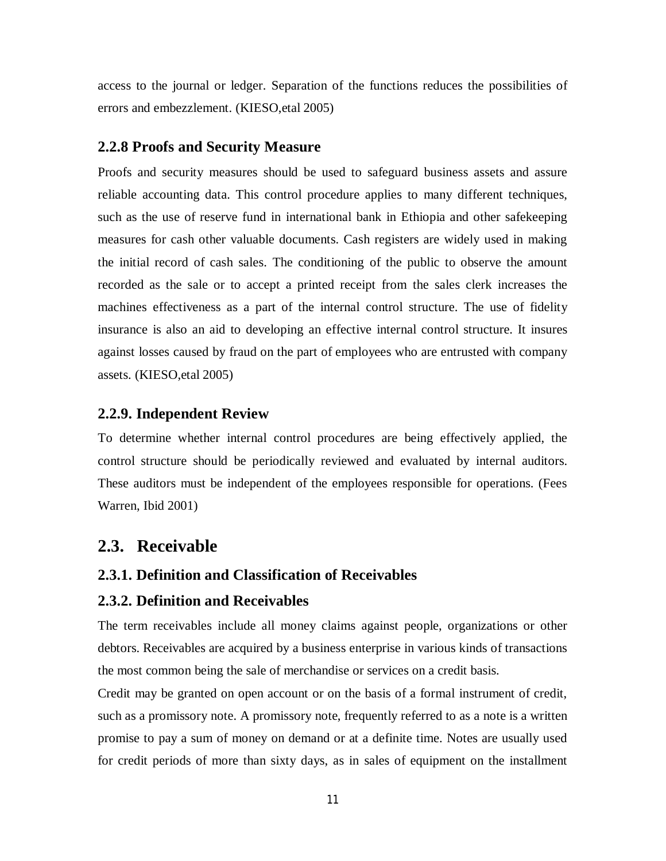access to the journal or ledger. Separation of the functions reduces the possibilities of errors and embezzlement. (KIESO,etal 2005)

#### **2.2.8 Proofs and Security Measure**

Proofs and security measures should be used to safeguard business assets and assure reliable accounting data. This control procedure applies to many different techniques, such as the use of reserve fund in international bank in Ethiopia and other safekeeping measures for cash other valuable documents. Cash registers are widely used in making the initial record of cash sales. The conditioning of the public to observe the amount recorded as the sale or to accept a printed receipt from the sales clerk increases the machines effectiveness as a part of the internal control structure. The use of fidelity insurance is also an aid to developing an effective internal control structure. It insures against losses caused by fraud on the part of employees who are entrusted with company assets. (KIESO,etal 2005)

#### **2.2.9. Independent Review**

To determine whether internal control procedures are being effectively applied, the control structure should be periodically reviewed and evaluated by internal auditors. These auditors must be independent of the employees responsible for operations. (Fees Warren, Ibid 2001)

#### **2.3. Receivable**

#### **2.3.1. Definition and Classification of Receivables**

#### **2.3.2. Definition and Receivables**

The term receivables include all money claims against people, organizations or other debtors. Receivables are acquired by a business enterprise in various kinds of transactions the most common being the sale of merchandise or services on a credit basis.

Credit may be granted on open account or on the basis of a formal instrument of credit, such as a promissory note. A promissory note, frequently referred to as a note is a written promise to pay a sum of money on demand or at a definite time. Notes are usually used for credit periods of more than sixty days, as in sales of equipment on the installment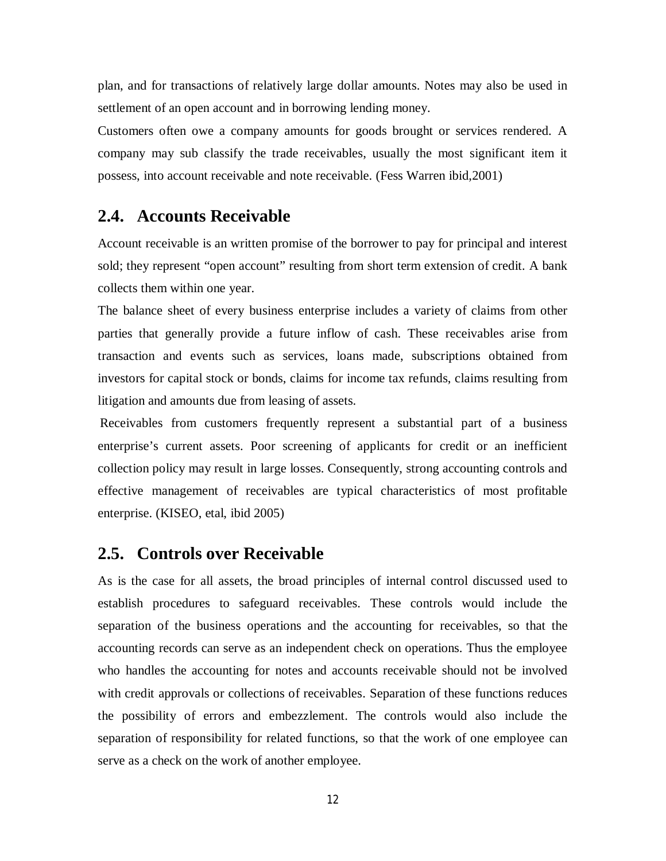plan, and for transactions of relatively large dollar amounts. Notes may also be used in settlement of an open account and in borrowing lending money.

Customers often owe a company amounts for goods brought or services rendered. A company may sub classify the trade receivables, usually the most significant item it possess, into account receivable and note receivable. (Fess Warren ibid,2001)

### **2.4. Accounts Receivable**

Account receivable is an written promise of the borrower to pay for principal and interest sold; they represent "open account" resulting from short term extension of credit. A bank collects them within one year.

The balance sheet of every business enterprise includes a variety of claims from other parties that generally provide a future inflow of cash. These receivables arise from transaction and events such as services, loans made, subscriptions obtained from investors for capital stock or bonds, claims for income tax refunds, claims resulting from litigation and amounts due from leasing of assets.

Receivables from customers frequently represent a substantial part of a business enterprise's current assets. Poor screening of applicants for credit or an inefficient collection policy may result in large losses. Consequently, strong accounting controls and effective management of receivables are typical characteristics of most profitable enterprise. (KISEO, etal, ibid 2005)

#### **2.5. Controls over Receivable**

As is the case for all assets, the broad principles of internal control discussed used to establish procedures to safeguard receivables. These controls would include the separation of the business operations and the accounting for receivables, so that the accounting records can serve as an independent check on operations. Thus the employee who handles the accounting for notes and accounts receivable should not be involved with credit approvals or collections of receivables. Separation of these functions reduces the possibility of errors and embezzlement. The controls would also include the separation of responsibility for related functions, so that the work of one employee can serve as a check on the work of another employee.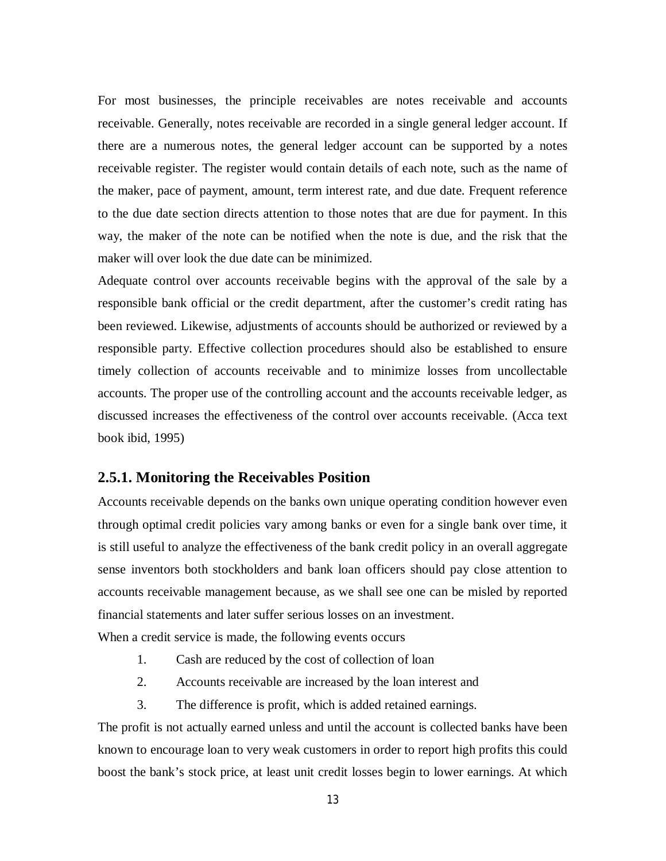For most businesses, the principle receivables are notes receivable and accounts receivable. Generally, notes receivable are recorded in a single general ledger account. If there are a numerous notes, the general ledger account can be supported by a notes receivable register. The register would contain details of each note, such as the name of the maker, pace of payment, amount, term interest rate, and due date. Frequent reference to the due date section directs attention to those notes that are due for payment. In this way, the maker of the note can be notified when the note is due, and the risk that the maker will over look the due date can be minimized.

Adequate control over accounts receivable begins with the approval of the sale by a responsible bank official or the credit department, after the customer's credit rating has been reviewed. Likewise, adjustments of accounts should be authorized or reviewed by a responsible party. Effective collection procedures should also be established to ensure timely collection of accounts receivable and to minimize losses from uncollectable accounts. The proper use of the controlling account and the accounts receivable ledger, as discussed increases the effectiveness of the control over accounts receivable. (Acca text book ibid, 1995)

#### **2.5.1. Monitoring the Receivables Position**

Accounts receivable depends on the banks own unique operating condition however even through optimal credit policies vary among banks or even for a single bank over time, it is still useful to analyze the effectiveness of the bank credit policy in an overall aggregate sense inventors both stockholders and bank loan officers should pay close attention to accounts receivable management because, as we shall see one can be misled by reported financial statements and later suffer serious losses on an investment.

When a credit service is made, the following events occurs

- 1. Cash are reduced by the cost of collection of loan
- 2. Accounts receivable are increased by the loan interest and
- 3. The difference is profit, which is added retained earnings.

The profit is not actually earned unless and until the account is collected banks have been known to encourage loan to very weak customers in order to report high profits this could boost the bank's stock price, at least unit credit losses begin to lower earnings. At which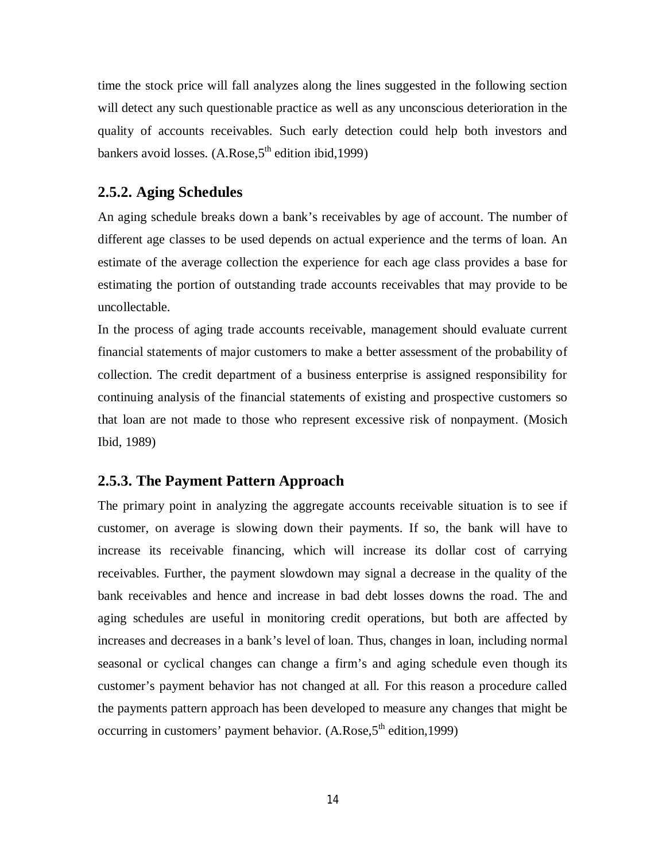time the stock price will fall analyzes along the lines suggested in the following section will detect any such questionable practice as well as any unconscious deterioration in the quality of accounts receivables. Such early detection could help both investors and bankers avoid losses.  $(A.Rose, 5<sup>th</sup>$  edition ibid, 1999)

#### **2.5.2. Aging Schedules**

An aging schedule breaks down a bank's receivables by age of account. The number of different age classes to be used depends on actual experience and the terms of loan. An estimate of the average collection the experience for each age class provides a base for estimating the portion of outstanding trade accounts receivables that may provide to be uncollectable.

In the process of aging trade accounts receivable, management should evaluate current financial statements of major customers to make a better assessment of the probability of collection. The credit department of a business enterprise is assigned responsibility for continuing analysis of the financial statements of existing and prospective customers so that loan are not made to those who represent excessive risk of nonpayment. (Mosich Ibid, 1989)

#### **2.5.3. The Payment Pattern Approach**

The primary point in analyzing the aggregate accounts receivable situation is to see if customer, on average is slowing down their payments. If so, the bank will have to increase its receivable financing, which will increase its dollar cost of carrying receivables. Further, the payment slowdown may signal a decrease in the quality of the bank receivables and hence and increase in bad debt losses downs the road. The and aging schedules are useful in monitoring credit operations, but both are affected by increases and decreases in a bank's level of loan. Thus, changes in loan, including normal seasonal or cyclical changes can change a firm's and aging schedule even though its customer's payment behavior has not changed at all. For this reason a procedure called the payments pattern approach has been developed to measure any changes that might be occurring in customers' payment behavior.  $(A.Rose.5<sup>th</sup> edition.1999)$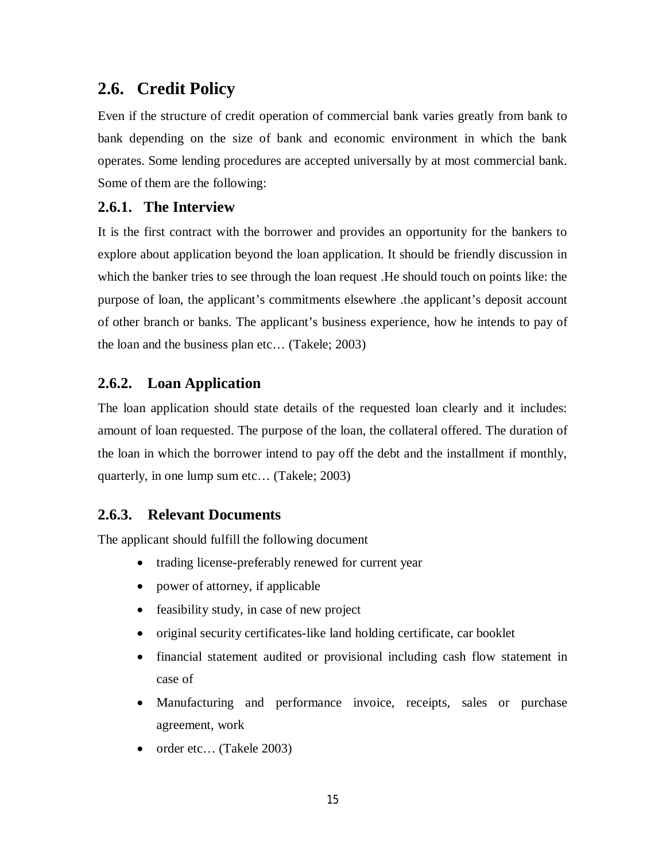## **2.6. Credit Policy**

Even if the structure of credit operation of commercial bank varies greatly from bank to bank depending on the size of bank and economic environment in which the bank operates. Some lending procedures are accepted universally by at most commercial bank. Some of them are the following:

#### **2.6.1. The Interview**

It is the first contract with the borrower and provides an opportunity for the bankers to explore about application beyond the loan application. It should be friendly discussion in which the banker tries to see through the loan request .He should touch on points like: the purpose of loan, the applicant's commitments elsewhere .the applicant's deposit account of other branch or banks. The applicant's business experience, how he intends to pay of the loan and the business plan etc… (Takele; 2003)

#### **2.6.2. Loan Application**

The loan application should state details of the requested loan clearly and it includes: amount of loan requested. The purpose of the loan, the collateral offered. The duration of the loan in which the borrower intend to pay off the debt and the installment if monthly, quarterly, in one lump sum etc… (Takele; 2003)

#### **2.6.3. Relevant Documents**

The applicant should fulfill the following document

- trading license-preferably renewed for current year
- power of attorney, if applicable
- feasibility study, in case of new project
- original security certificates-like land holding certificate, car booklet
- financial statement audited or provisional including cash flow statement in case of
- Manufacturing and performance invoice, receipts, sales or purchase agreement, work
- order etc... (Takele 2003)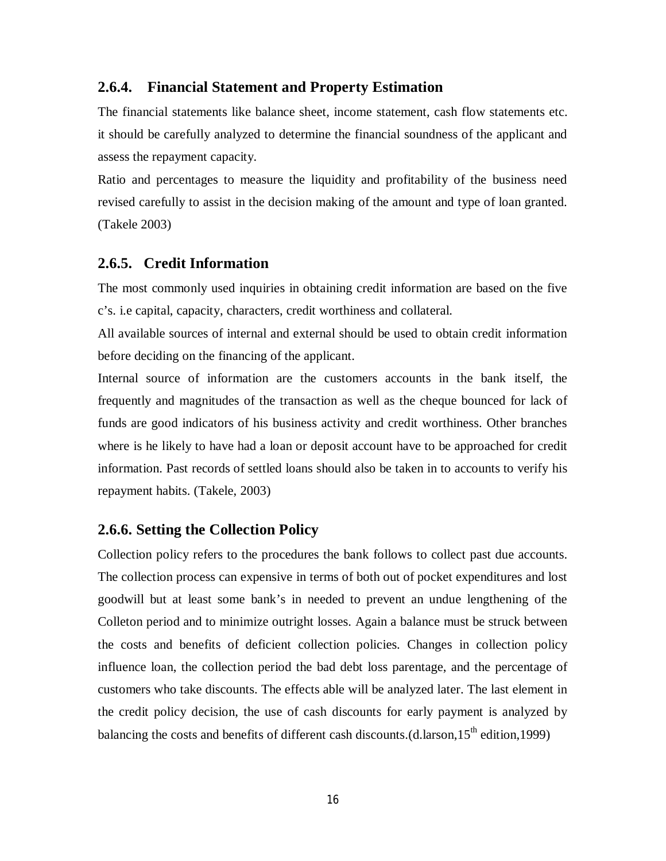#### **2.6.4. Financial Statement and Property Estimation**

The financial statements like balance sheet, income statement, cash flow statements etc. it should be carefully analyzed to determine the financial soundness of the applicant and assess the repayment capacity.

Ratio and percentages to measure the liquidity and profitability of the business need revised carefully to assist in the decision making of the amount and type of loan granted. (Takele 2003)

#### **2.6.5. Credit Information**

The most commonly used inquiries in obtaining credit information are based on the five c's. i.e capital, capacity, characters, credit worthiness and collateral.

All available sources of internal and external should be used to obtain credit information before deciding on the financing of the applicant.

Internal source of information are the customers accounts in the bank itself, the frequently and magnitudes of the transaction as well as the cheque bounced for lack of funds are good indicators of his business activity and credit worthiness. Other branches where is he likely to have had a loan or deposit account have to be approached for credit information. Past records of settled loans should also be taken in to accounts to verify his repayment habits. (Takele, 2003)

#### **2.6.6. Setting the Collection Policy**

Collection policy refers to the procedures the bank follows to collect past due accounts. The collection process can expensive in terms of both out of pocket expenditures and lost goodwill but at least some bank's in needed to prevent an undue lengthening of the Colleton period and to minimize outright losses. Again a balance must be struck between the costs and benefits of deficient collection policies. Changes in collection policy influence loan, the collection period the bad debt loss parentage, and the percentage of customers who take discounts. The effects able will be analyzed later. The last element in the credit policy decision, the use of cash discounts for early payment is analyzed by balancing the costs and benefits of different cash discounts.(d.larson,  $15^{th}$  edition, 1999)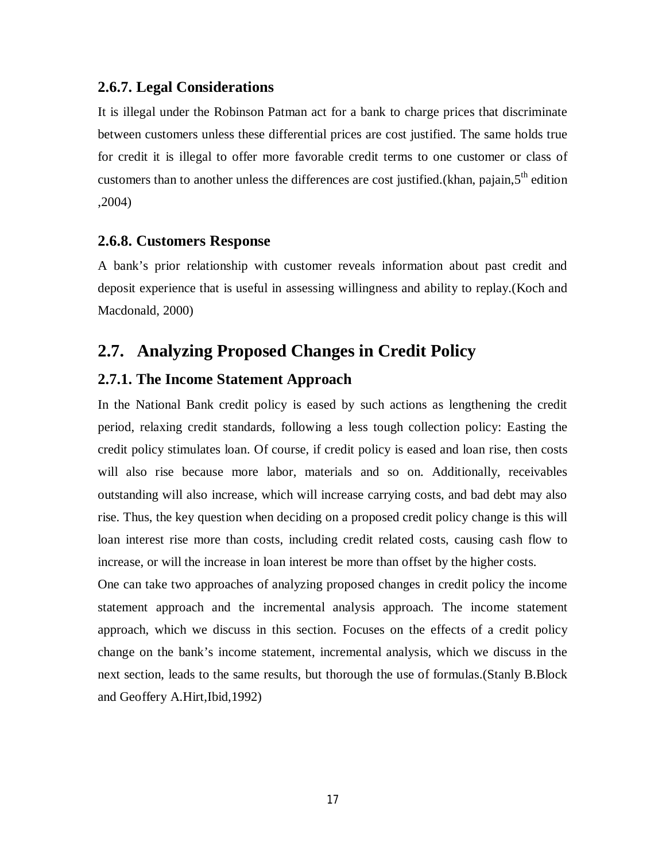#### **2.6.7. Legal Considerations**

It is illegal under the Robinson Patman act for a bank to charge prices that discriminate between customers unless these differential prices are cost justified. The same holds true for credit it is illegal to offer more favorable credit terms to one customer or class of customers than to another unless the differences are cost justified.(khan, pajain,5<sup>th</sup> edition ,2004)

#### **2.6.8. Customers Response**

A bank's prior relationship with customer reveals information about past credit and deposit experience that is useful in assessing willingness and ability to replay.(Koch and Macdonald, 2000)

### **2.7. Analyzing Proposed Changes in Credit Policy**

#### **2.7.1. The Income Statement Approach**

In the National Bank credit policy is eased by such actions as lengthening the credit period, relaxing credit standards, following a less tough collection policy: Easting the credit policy stimulates loan. Of course, if credit policy is eased and loan rise, then costs will also rise because more labor, materials and so on. Additionally, receivables outstanding will also increase, which will increase carrying costs, and bad debt may also rise. Thus, the key question when deciding on a proposed credit policy change is this will loan interest rise more than costs, including credit related costs, causing cash flow to increase, or will the increase in loan interest be more than offset by the higher costs.

One can take two approaches of analyzing proposed changes in credit policy the income statement approach and the incremental analysis approach. The income statement approach, which we discuss in this section. Focuses on the effects of a credit policy change on the bank's income statement, incremental analysis, which we discuss in the next section, leads to the same results, but thorough the use of formulas.(Stanly B.Block and Geoffery A.Hirt,Ibid,1992)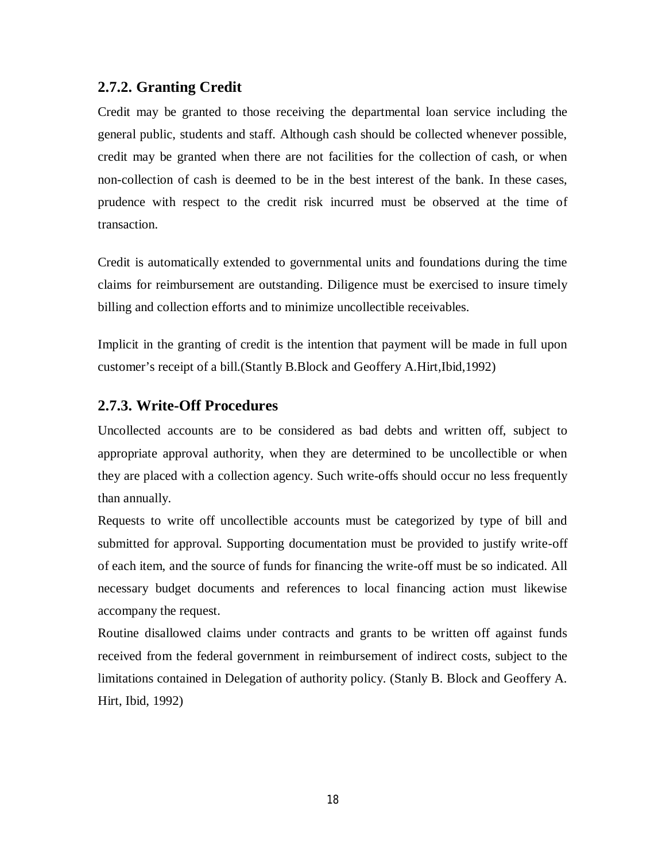#### **2.7.2. Granting Credit**

Credit may be granted to those receiving the departmental loan service including the general public, students and staff. Although cash should be collected whenever possible, credit may be granted when there are not facilities for the collection of cash, or when non-collection of cash is deemed to be in the best interest of the bank. In these cases, prudence with respect to the credit risk incurred must be observed at the time of transaction.

Credit is automatically extended to governmental units and foundations during the time claims for reimbursement are outstanding. Diligence must be exercised to insure timely billing and collection efforts and to minimize uncollectible receivables.

Implicit in the granting of credit is the intention that payment will be made in full upon customer's receipt of a bill.(Stantly B.Block and Geoffery A.Hirt,Ibid,1992)

#### **2.7.3. Write-Off Procedures**

Uncollected accounts are to be considered as bad debts and written off, subject to appropriate approval authority, when they are determined to be uncollectible or when they are placed with a collection agency. Such write-offs should occur no less frequently than annually.

Requests to write off uncollectible accounts must be categorized by type of bill and submitted for approval. Supporting documentation must be provided to justify write-off of each item, and the source of funds for financing the write-off must be so indicated. All necessary budget documents and references to local financing action must likewise accompany the request.

Routine disallowed claims under contracts and grants to be written off against funds received from the federal government in reimbursement of indirect costs, subject to the limitations contained in Delegation of authority policy. (Stanly B. Block and Geoffery A. Hirt, Ibid, 1992)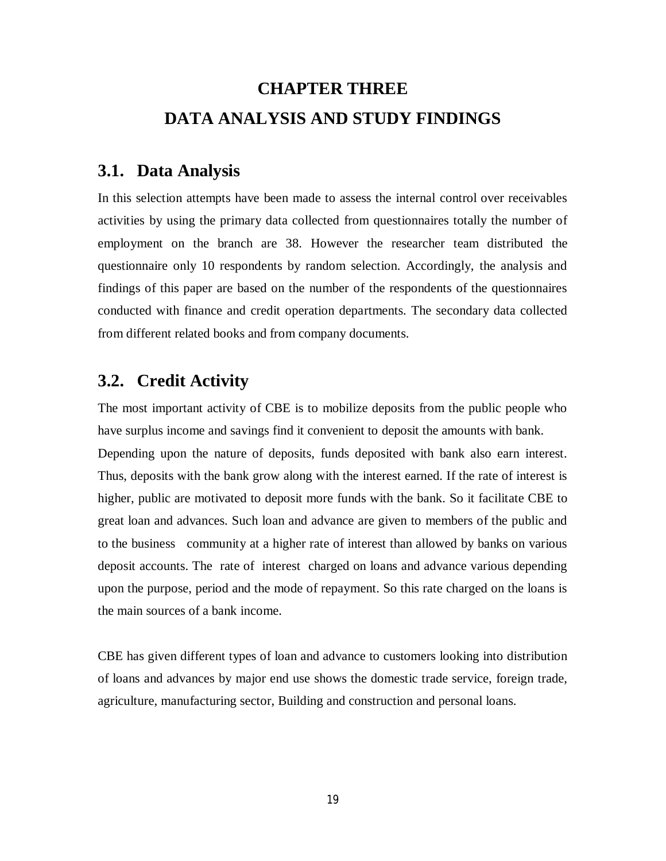## **CHAPTER THREE DATA ANALYSIS AND STUDY FINDINGS**

### **3.1. Data Analysis**

In this selection attempts have been made to assess the internal control over receivables activities by using the primary data collected from questionnaires totally the number of employment on the branch are 38. However the researcher team distributed the questionnaire only 10 respondents by random selection. Accordingly, the analysis and findings of this paper are based on the number of the respondents of the questionnaires conducted with finance and credit operation departments. The secondary data collected from different related books and from company documents.

## **3.2. Credit Activity**

The most important activity of CBE is to mobilize deposits from the public people who have surplus income and savings find it convenient to deposit the amounts with bank. Depending upon the nature of deposits, funds deposited with bank also earn interest. Thus, deposits with the bank grow along with the interest earned. If the rate of interest is higher, public are motivated to deposit more funds with the bank. So it facilitate CBE to great loan and advances. Such loan and advance are given to members of the public and to the business community at a higher rate of interest than allowed by banks on various deposit accounts. The rate of interest charged on loans and advance various depending upon the purpose, period and the mode of repayment. So this rate charged on the loans is the main sources of a bank income.

CBE has given different types of loan and advance to customers looking into distribution of loans and advances by major end use shows the domestic trade service, foreign trade, agriculture, manufacturing sector, Building and construction and personal loans.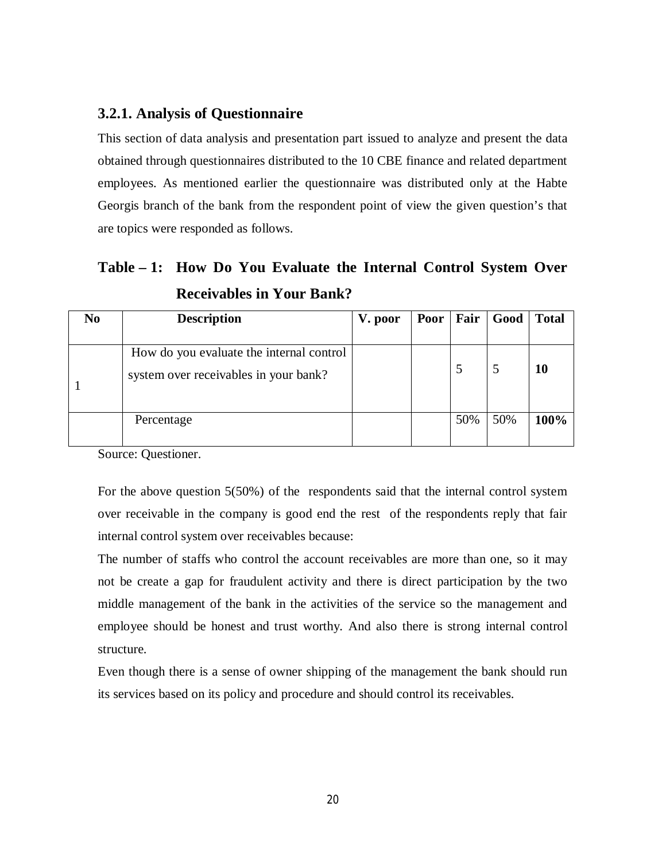#### **3.2.1. Analysis of Questionnaire**

This section of data analysis and presentation part issued to analyze and present the data obtained through questionnaires distributed to the 10 CBE finance and related department employees. As mentioned earlier the questionnaire was distributed only at the Habte Georgis branch of the bank from the respondent point of view the given question's that are topics were responded as follows.

## **Table – 1: How Do You Evaluate the Internal Control System Over Receivables in Your Bank?**

| N <sub>0</sub> | <b>Description</b>                       | V. poor |     | Poor   Fair   Good | Total |
|----------------|------------------------------------------|---------|-----|--------------------|-------|
|                |                                          |         |     |                    |       |
|                | How do you evaluate the internal control |         |     |                    |       |
|                | system over receivables in your bank?    |         |     | C                  | 10    |
|                |                                          |         |     |                    |       |
|                | Percentage                               |         | 50% | 50%                | 100%  |
|                |                                          |         |     |                    |       |

Source: Questioner.

For the above question 5(50%) of the respondents said that the internal control system over receivable in the company is good end the rest of the respondents reply that fair internal control system over receivables because:

The number of staffs who control the account receivables are more than one, so it may not be create a gap for fraudulent activity and there is direct participation by the two middle management of the bank in the activities of the service so the management and employee should be honest and trust worthy. And also there is strong internal control structure.

Even though there is a sense of owner shipping of the management the bank should run its services based on its policy and procedure and should control its receivables.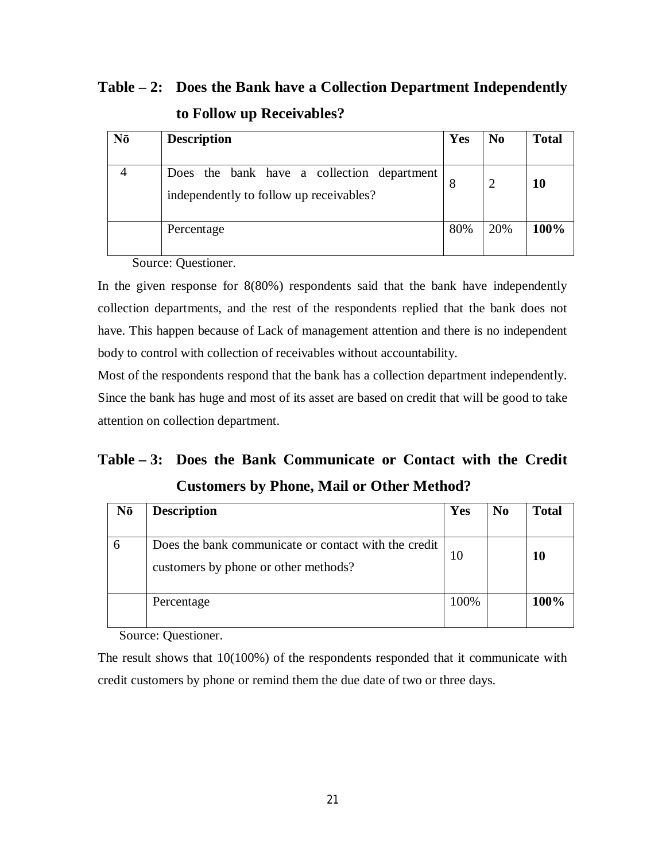## **Table – 2: Does the Bank have a Collection Department Independently to Follow up Receivables?**

| Nō | <b>Description</b>                                                                    | Yes | N <sub>0</sub> | <b>Total</b> |
|----|---------------------------------------------------------------------------------------|-----|----------------|--------------|
|    | Does the bank have a collection department<br>independently to follow up receivables? | 8   | $\overline{2}$ | 10           |
|    | Percentage                                                                            | 80% | 20%            | 100%         |

Source: Questioner.

In the given response for 8(80%) respondents said that the bank have independently collection departments, and the rest of the respondents replied that the bank does not have. This happen because of Lack of management attention and there is no independent body to control with collection of receivables without accountability.

Most of the respondents respond that the bank has a collection department independently. Since the bank has huge and most of its asset are based on credit that will be good to take attention on collection department.

## **Table – 3: Does the Bank Communicate or Contact with the Credit Customers by Phone, Mail or Other Method?**

| Nō | <b>Description</b>                                                                           | Yes  | No | <b>Total</b> |
|----|----------------------------------------------------------------------------------------------|------|----|--------------|
|    | Does the bank communicate or contact with the credit<br>customers by phone or other methods? | 10   |    | 10           |
|    | Percentage                                                                                   | 100% |    | 100%         |

Source: Questioner.

The result shows that 10(100%) of the respondents responded that it communicate with credit customers by phone or remind them the due date of two or three days.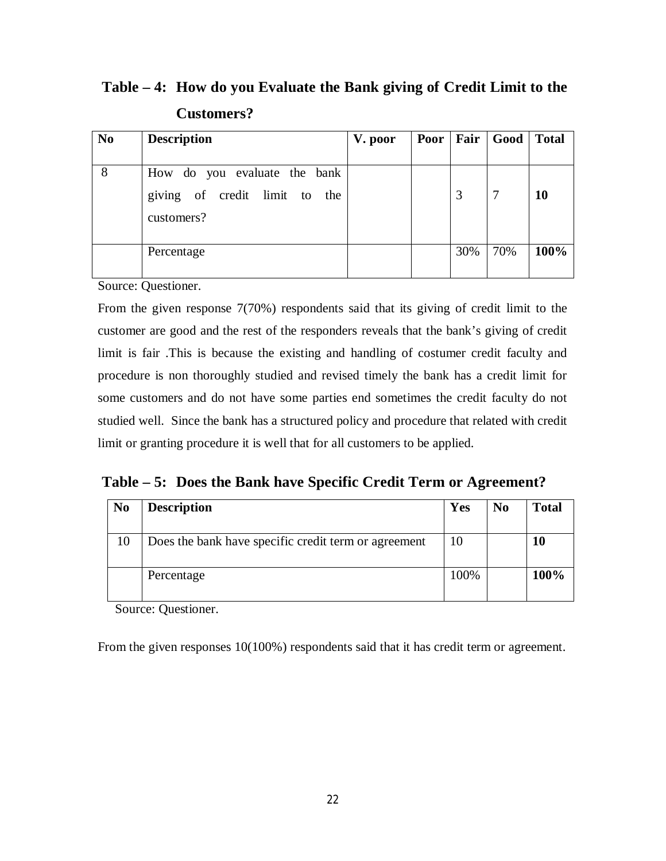**Table – 4: How do you Evaluate the Bank giving of Credit Limit to the Customers?**

| N <sub>0</sub> | <b>Description</b>                             | V. poor | Poor   Fair |     | Good | <b>Total</b> |
|----------------|------------------------------------------------|---------|-------------|-----|------|--------------|
|                |                                                |         |             |     |      |              |
| 8              | How do you evaluate the bank                   |         |             |     |      |              |
|                | giving of credit limit to<br>the<br>customers? |         |             | 3   | -7   | 10           |
|                | Percentage                                     |         |             | 30% | 70%  | 100%         |

Source: Questioner.

From the given response 7(70%) respondents said that its giving of credit limit to the customer are good and the rest of the responders reveals that the bank's giving of credit limit is fair .This is because the existing and handling of costumer credit faculty and procedure is non thoroughly studied and revised timely the bank has a credit limit for some customers and do not have some parties end sometimes the credit faculty do not studied well. Since the bank has a structured policy and procedure that related with credit limit or granting procedure it is well that for all customers to be applied.

**Table – 5: Does the Bank have Specific Credit Term or Agreement?**

| N <sub>0</sub> | <b>Description</b>                                   | Yes  | N <sub>0</sub> | <b>Total</b> |
|----------------|------------------------------------------------------|------|----------------|--------------|
|                |                                                      |      |                |              |
|                | Does the bank have specific credit term or agreement | 10   |                | 10           |
|                | Percentage                                           | 100% |                | 100%         |

Source: Questioner.

From the given responses 10(100%) respondents said that it has credit term or agreement.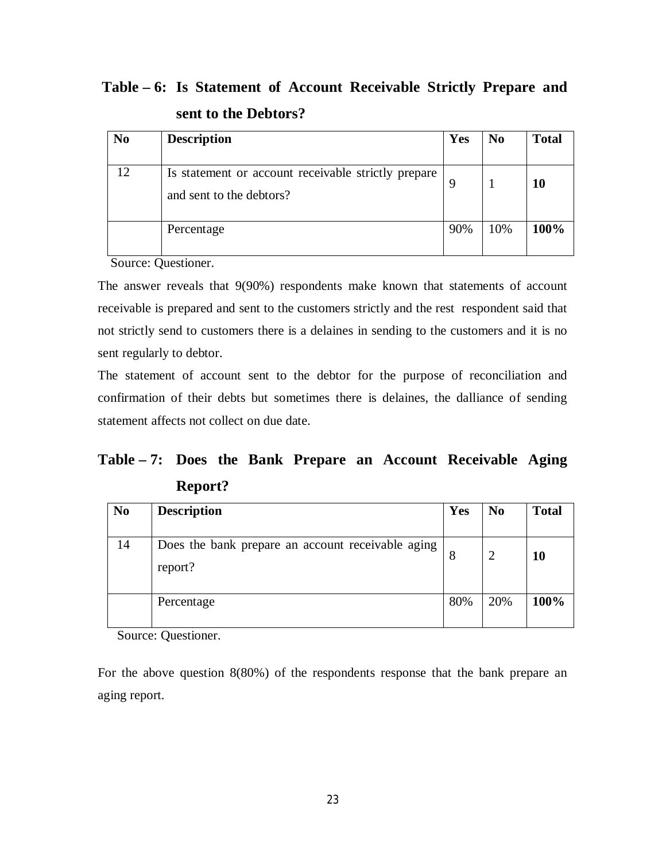**Table – 6: Is Statement of Account Receivable Strictly Prepare and sent to the Debtors?**

| N <sub>0</sub> | <b>Description</b>                                                              | Yes | N <sub>0</sub> | <b>Total</b> |
|----------------|---------------------------------------------------------------------------------|-----|----------------|--------------|
| 12             | Is statement or account receivable strictly prepare<br>and sent to the debtors? | 9   |                | 10           |
|                | Percentage                                                                      | 90% | 10%            | 100%         |

Source: Questioner.

The answer reveals that 9(90%) respondents make known that statements of account receivable is prepared and sent to the customers strictly and the rest respondent said that not strictly send to customers there is a delaines in sending to the customers and it is no sent regularly to debtor.

The statement of account sent to the debtor for the purpose of reconciliation and confirmation of their debts but sometimes there is delaines, the dalliance of sending statement affects not collect on due date.

**Table – 7: Does the Bank Prepare an Account Receivable Aging Report?**

| N <sub>0</sub> | <b>Description</b>                                           | Yes | N <sub>0</sub> | <b>Total</b> |
|----------------|--------------------------------------------------------------|-----|----------------|--------------|
| 14             | Does the bank prepare an account receivable aging<br>report? |     | $\overline{2}$ | 10           |
|                | Percentage                                                   | 80% | 20%            | 100%         |

Source: Questioner.

For the above question 8(80%) of the respondents response that the bank prepare an aging report.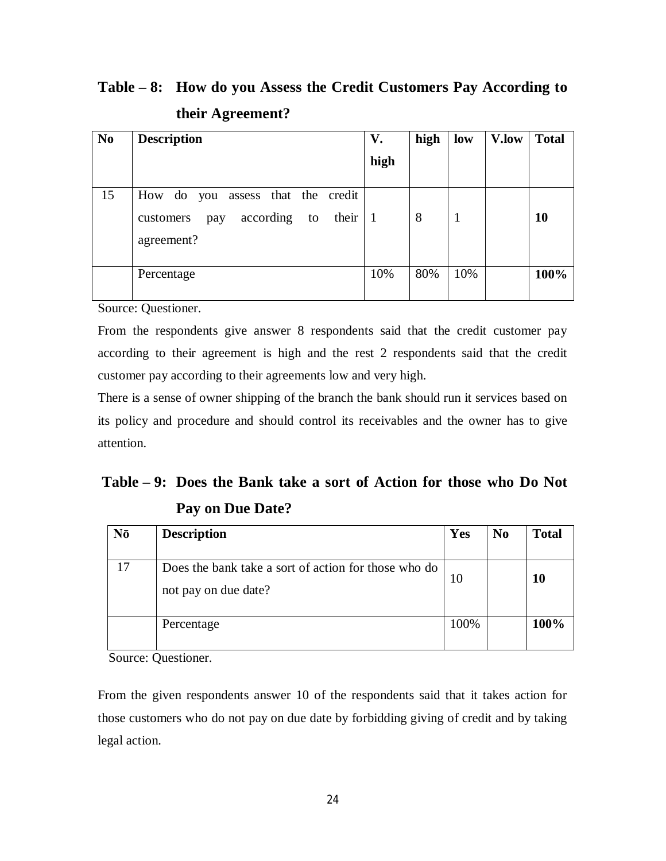## **Table – 8: How do you Assess the Credit Customers Pay According to their Agreement?**

| N <sub>0</sub> | <b>Description</b>                                                                           | V.   | high | low | V.low | <b>Total</b> |
|----------------|----------------------------------------------------------------------------------------------|------|------|-----|-------|--------------|
|                |                                                                                              | high |      |     |       |              |
| 15             | How do you assess that the credit<br>their<br>according to<br>customers<br>pay<br>agreement? | -1   | 8    |     |       | 10           |
|                | Percentage                                                                                   | 10%  | 80%  | 10% |       | 100%         |

Source: Questioner.

From the respondents give answer 8 respondents said that the credit customer pay according to their agreement is high and the rest 2 respondents said that the credit customer pay according to their agreements low and very high.

There is a sense of owner shipping of the branch the bank should run it services based on its policy and procedure and should control its receivables and the owner has to give attention.

## **Table – 9: Does the Bank take a sort of Action for those who Do Not Pay on Due Date?**

| Nō | <b>Description</b>                                                           | Yes  | N <sub>0</sub> | <b>Total</b> |
|----|------------------------------------------------------------------------------|------|----------------|--------------|
| 17 | Does the bank take a sort of action for those who do<br>not pay on due date? | 10   |                | 10           |
|    | Percentage                                                                   | 100% |                | 100%         |

Source: Questioner.

From the given respondents answer 10 of the respondents said that it takes action for those customers who do not pay on due date by forbidding giving of credit and by taking legal action.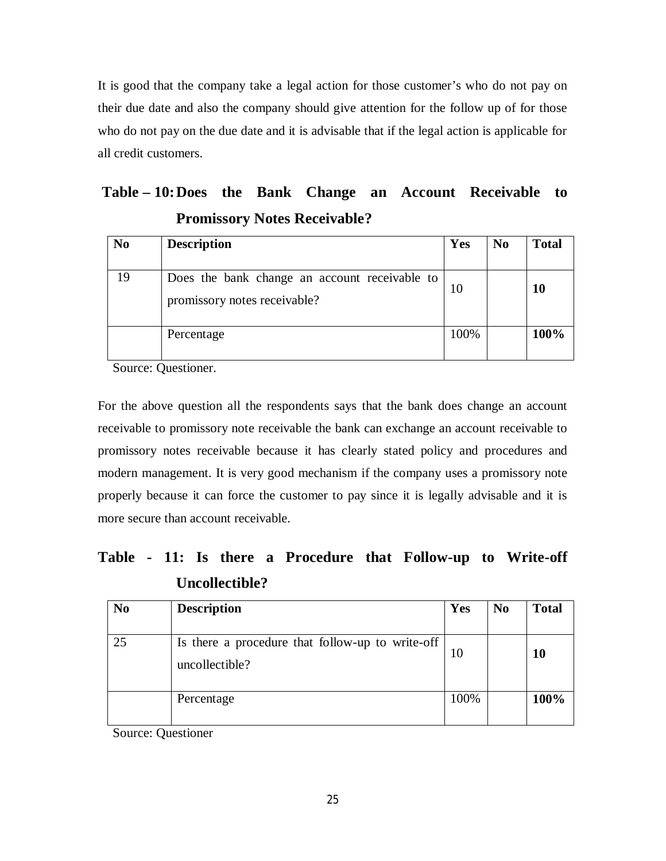It is good that the company take a legal action for those customer's who do not pay on their due date and also the company should give attention for the follow up of for those who do not pay on the due date and it is advisable that if the legal action is applicable for all credit customers.

| Table – 10: Does the Bank Change an Account Receivable to |  |                                     |  |  |
|-----------------------------------------------------------|--|-------------------------------------|--|--|
|                                                           |  | <b>Promissory Notes Receivable?</b> |  |  |

| N <sub>0</sub> | <b>Description</b>                                                            | Yes  | N <sub>0</sub> | <b>Total</b> |
|----------------|-------------------------------------------------------------------------------|------|----------------|--------------|
| 19             | Does the bank change an account receivable to<br>promissory notes receivable? | 10   |                | 10           |
|                | Percentage                                                                    | 100% |                | 100%         |

Source: Questioner.

For the above question all the respondents says that the bank does change an account receivable to promissory note receivable the bank can exchange an account receivable to promissory notes receivable because it has clearly stated policy and procedures and modern management. It is very good mechanism if the company uses a promissory note properly because it can force the customer to pay since it is legally advisable and it is more secure than account receivable.

## **Table - 11: Is there a Procedure that Follow-up to Write-off Uncollectible?**

| N <sub>0</sub> | <b>Description</b>                                                 | Yes  | N <sub>0</sub> | <b>Total</b> |
|----------------|--------------------------------------------------------------------|------|----------------|--------------|
| 25             | Is there a procedure that follow-up to write-off<br>uncollectible? | 10   |                | 10           |
|                | Percentage                                                         | 100% |                | 100%         |

Source: Questioner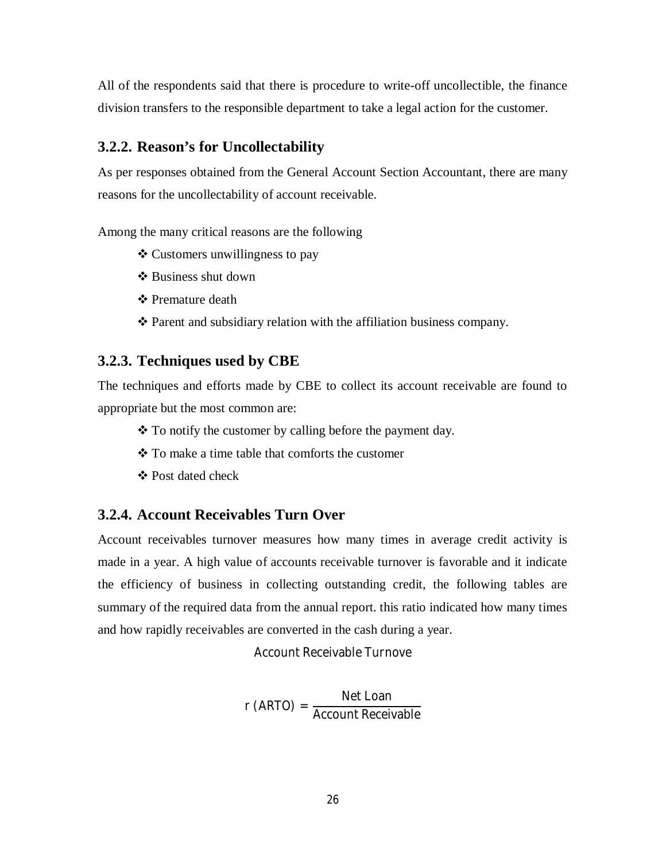All of the respondents said that there is procedure to write-off uncollectible, the finance division transfers to the responsible department to take a legal action for the customer.

#### **3.2.2. Reason's for Uncollectability**

As per responses obtained from the General Account Section Accountant, there are many reasons for the uncollectability of account receivable.

Among the many critical reasons are the following

- Customers unwillingness to pay
- $\triangle$  Business shut down
- $\div$  **Premature death**
- Parent and subsidiary relation with the affiliation business company.

#### **3.2.3. Techniques used by CBE**

The techniques and efforts made by CBE to collect its account receivable are found to appropriate but the most common are:

- $\cdot$  To notify the customer by calling before the payment day.
- To make a time table that comforts the customer
- Post dated check

#### **3.2.4. Account Receivables Turn Over**

Account receivables turnover measures how many times in average credit activity is made in a year. A high value of accounts receivable turnover is favorable and it indicate the efficiency of business in collecting outstanding credit, the following tables are summary of the required data from the annual report. this ratio indicated how many times and how rapidly receivables are converted in the cash during a year.

Account Receivable Turnove

r (ARTO) = Net Loan Account Receivable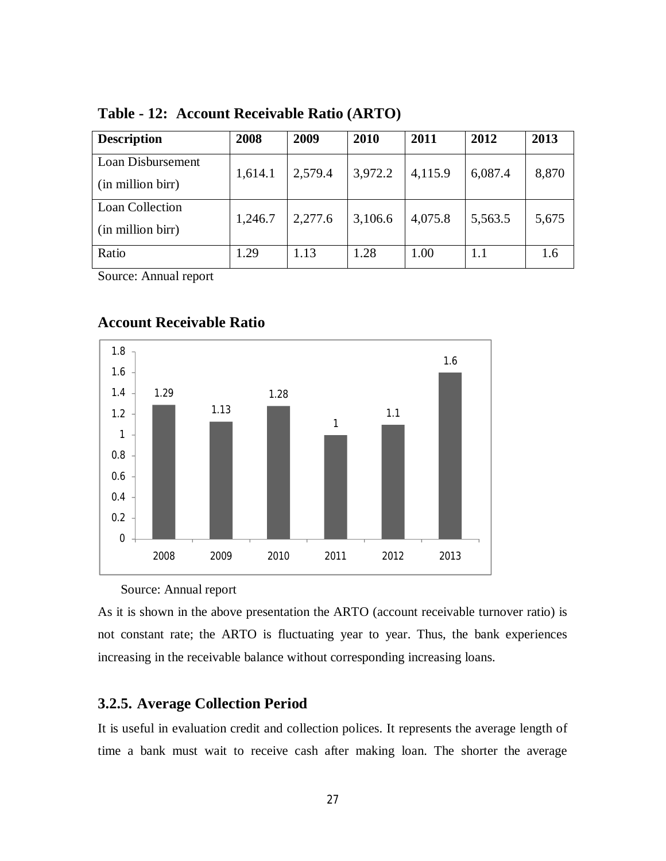| <b>Description</b> | 2008    | 2009    | 2010    | 2011    | 2012    | 2013  |
|--------------------|---------|---------|---------|---------|---------|-------|
| Loan Disbursement  | 1,614.1 | 2,579.4 | 3,972.2 | 4,115.9 | 6,087.4 | 8,870 |
| (in million birr)  |         |         |         |         |         |       |
| Loan Collection    | 1,246.7 | 2,277.6 | 3,106.6 | 4,075.8 | 5,563.5 | 5,675 |
| (in million birr)  |         |         |         |         |         |       |
| Ratio              | 1.29    | 1.13    | 1.28    | 1.00    | 1.1     | 1.6   |

**Table - 12: Account Receivable Ratio (ARTO)**

Source: Annual report

#### **Account Receivable Ratio**



#### Source: Annual report

As it is shown in the above presentation the ARTO (account receivable turnover ratio) is not constant rate; the ARTO is fluctuating year to year. Thus, the bank experiences increasing in the receivable balance without corresponding increasing loans.

#### **3.2.5. Average Collection Period**

It is useful in evaluation credit and collection polices. It represents the average length of time a bank must wait to receive cash after making loan. The shorter the average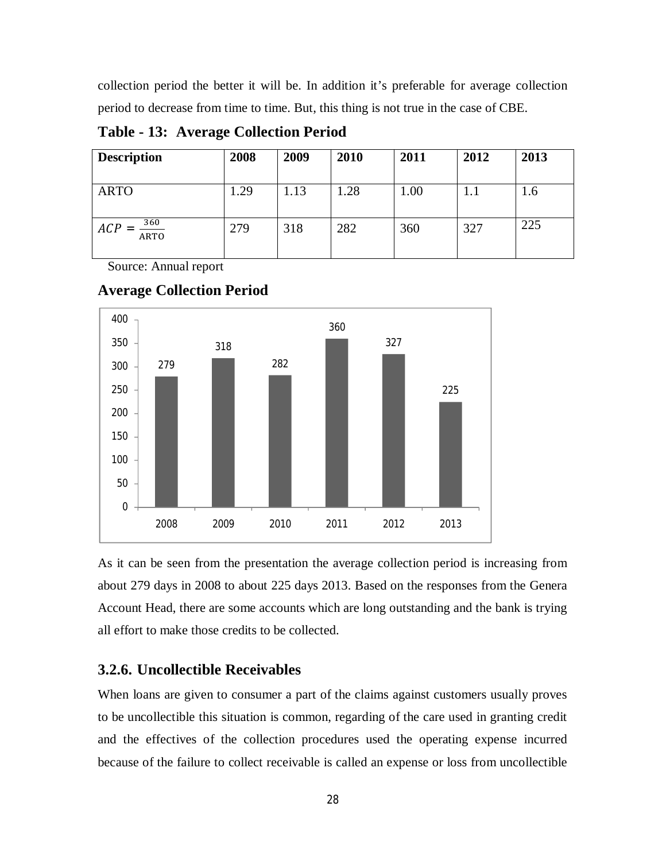collection period the better it will be. In addition it's preferable for average collection period to decrease from time to time. But, this thing is not true in the case of CBE.

**Table - 13: Average Collection Period**

| <b>Description</b>                      | 2008 | 2009 | 2010 | 2011 | 2012 | 2013 |
|-----------------------------------------|------|------|------|------|------|------|
|                                         |      |      |      |      |      |      |
| <b>ARTO</b>                             | 1.29 | 1.13 | .28  | 1.00 |      | 1.6  |
|                                         |      |      |      |      |      |      |
| $\frac{360}{\text{ARTO}}$<br><b>ACP</b> | 279  | 318  | 282  | 360  | 327  | 225  |
|                                         |      |      |      |      |      |      |

Source: Annual report



#### **Average Collection Period**

As it can be seen from the presentation the average collection period is increasing from about 279 days in 2008 to about 225 days 2013. Based on the responses from the Genera Account Head, there are some accounts which are long outstanding and the bank is trying all effort to make those credits to be collected.

#### **3.2.6. Uncollectible Receivables**

When loans are given to consumer a part of the claims against customers usually proves to be uncollectible this situation is common, regarding of the care used in granting credit and the effectives of the collection procedures used the operating expense incurred because of the failure to collect receivable is called an expense or loss from uncollectible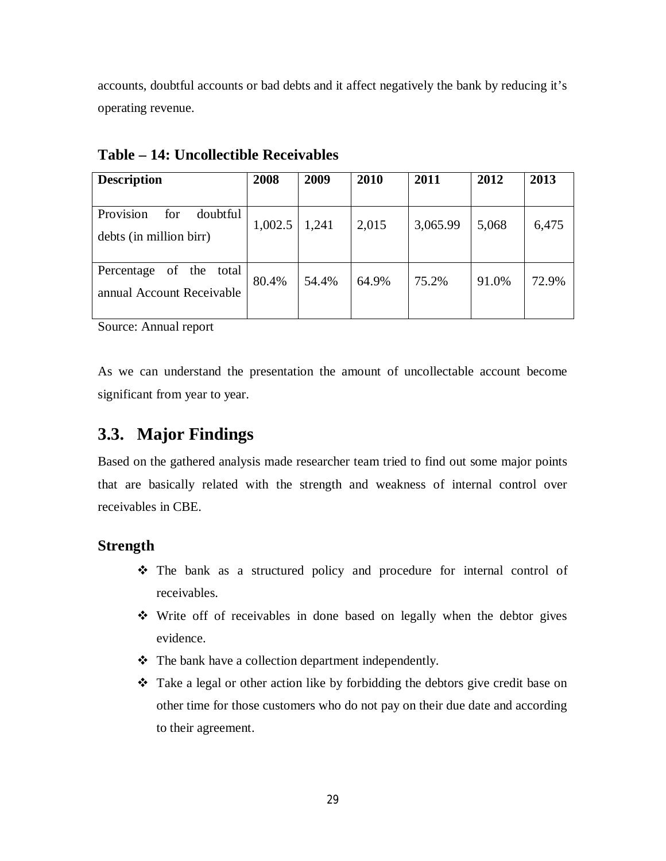accounts, doubtful accounts or bad debts and it affect negatively the bank by reducing it's operating revenue.

| <b>Description</b>                                            | 2008    | 2009  | 2010  | 2011     | 2012  | 2013  |
|---------------------------------------------------------------|---------|-------|-------|----------|-------|-------|
| Provision<br>for<br>doubtful<br>debts (in million birr)       | 1,002.5 | 1,241 | 2,015 | 3,065.99 | 5,068 | 6,475 |
| the<br>of<br>total<br>Percentage<br>annual Account Receivable | 80.4%   | 54.4% | 64.9% | 75.2%    | 91.0% | 72.9% |

**Table – 14: Uncollectible Receivables**

Source: Annual report

As we can understand the presentation the amount of uncollectable account become significant from year to year.

## **3.3. Major Findings**

Based on the gathered analysis made researcher team tried to find out some major points that are basically related with the strength and weakness of internal control over receivables in CBE.

#### **Strength**

- The bank as a structured policy and procedure for internal control of receivables.
- Write off of receivables in done based on legally when the debtor gives evidence.
- The bank have a collection department independently.
- Take a legal or other action like by forbidding the debtors give credit base on other time for those customers who do not pay on their due date and according to their agreement.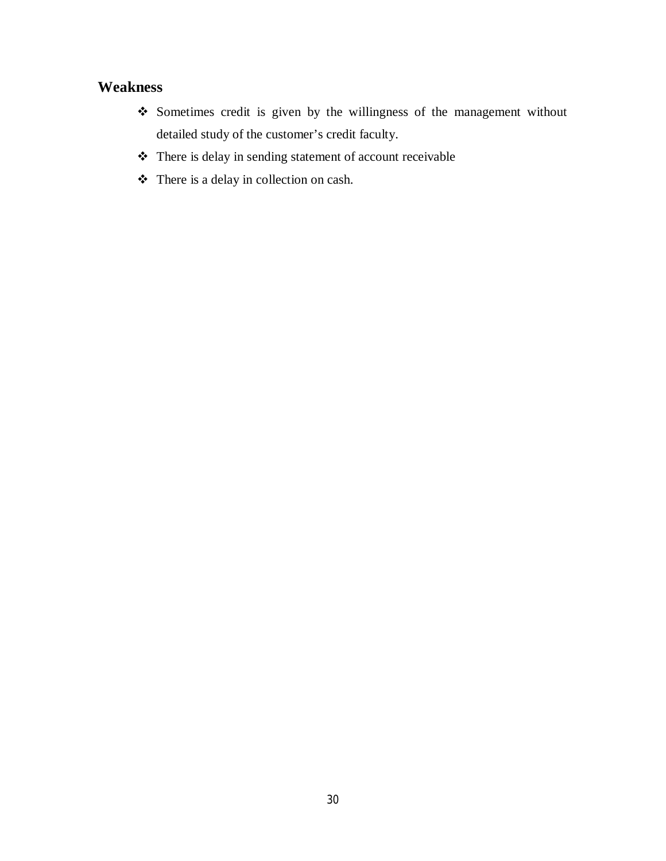### **Weakness**

- Sometimes credit is given by the willingness of the management without detailed study of the customer's credit faculty.
- There is delay in sending statement of account receivable
- There is a delay in collection on cash.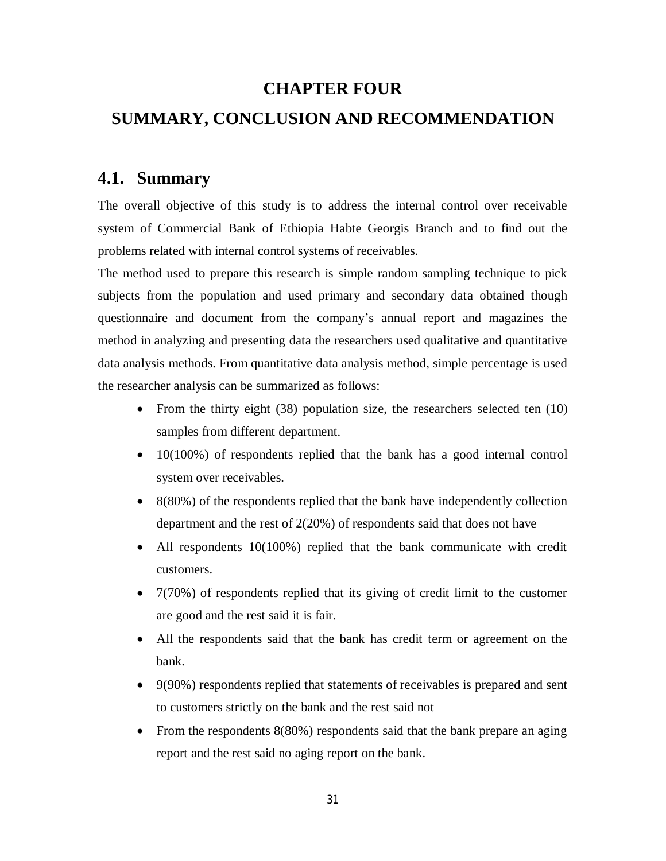### **CHAPTER FOUR**

### **SUMMARY, CONCLUSION AND RECOMMENDATION**

## **4.1. Summary**

The overall objective of this study is to address the internal control over receivable system of Commercial Bank of Ethiopia Habte Georgis Branch and to find out the problems related with internal control systems of receivables.

The method used to prepare this research is simple random sampling technique to pick subjects from the population and used primary and secondary data obtained though questionnaire and document from the company's annual report and magazines the method in analyzing and presenting data the researchers used qualitative and quantitative data analysis methods. From quantitative data analysis method, simple percentage is used the researcher analysis can be summarized as follows:

- From the thirty eight (38) population size, the researchers selected ten (10) samples from different department.
- 10(100%) of respondents replied that the bank has a good internal control system over receivables.
- 8(80%) of the respondents replied that the bank have independently collection department and the rest of 2(20%) of respondents said that does not have
- All respondents 10(100%) replied that the bank communicate with credit customers.
- $\bullet$  7(70%) of respondents replied that its giving of credit limit to the customer are good and the rest said it is fair.
- All the respondents said that the bank has credit term or agreement on the bank.
- 9(90%) respondents replied that statements of receivables is prepared and sent to customers strictly on the bank and the rest said not
- From the respondents  $8(80\%)$  respondents said that the bank prepare an aging report and the rest said no aging report on the bank.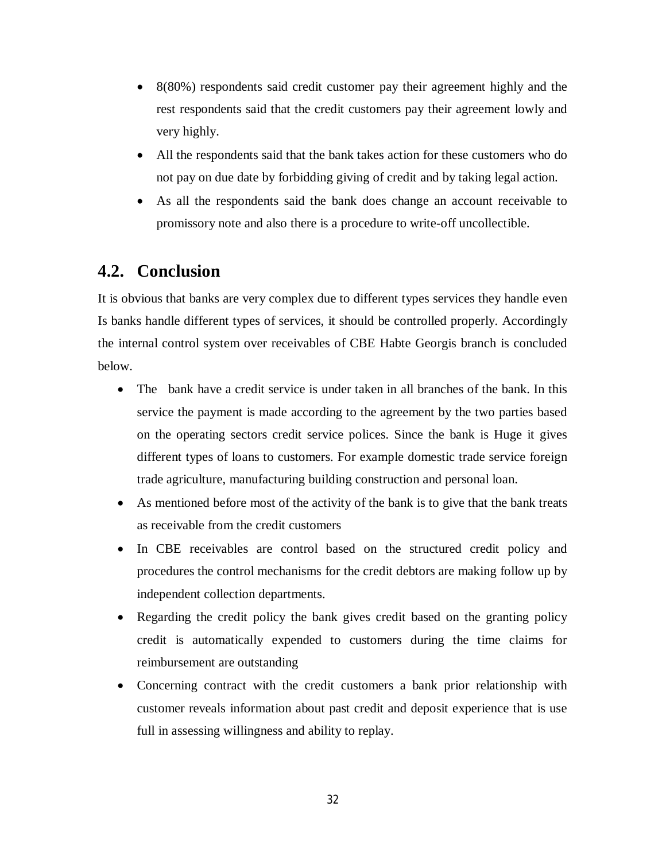- 8(80%) respondents said credit customer pay their agreement highly and the rest respondents said that the credit customers pay their agreement lowly and very highly.
- All the respondents said that the bank takes action for these customers who do not pay on due date by forbidding giving of credit and by taking legal action.
- As all the respondents said the bank does change an account receivable to promissory note and also there is a procedure to write-off uncollectible.

## **4.2. Conclusion**

It is obvious that banks are very complex due to different types services they handle even Is banks handle different types of services, it should be controlled properly. Accordingly the internal control system over receivables of CBE Habte Georgis branch is concluded below.

- The bank have a credit service is under taken in all branches of the bank. In this service the payment is made according to the agreement by the two parties based on the operating sectors credit service polices. Since the bank is Huge it gives different types of loans to customers. For example domestic trade service foreign trade agriculture, manufacturing building construction and personal loan.
- As mentioned before most of the activity of the bank is to give that the bank treats as receivable from the credit customers
- In CBE receivables are control based on the structured credit policy and procedures the control mechanisms for the credit debtors are making follow up by independent collection departments.
- Regarding the credit policy the bank gives credit based on the granting policy credit is automatically expended to customers during the time claims for reimbursement are outstanding
- Concerning contract with the credit customers a bank prior relationship with customer reveals information about past credit and deposit experience that is use full in assessing willingness and ability to replay.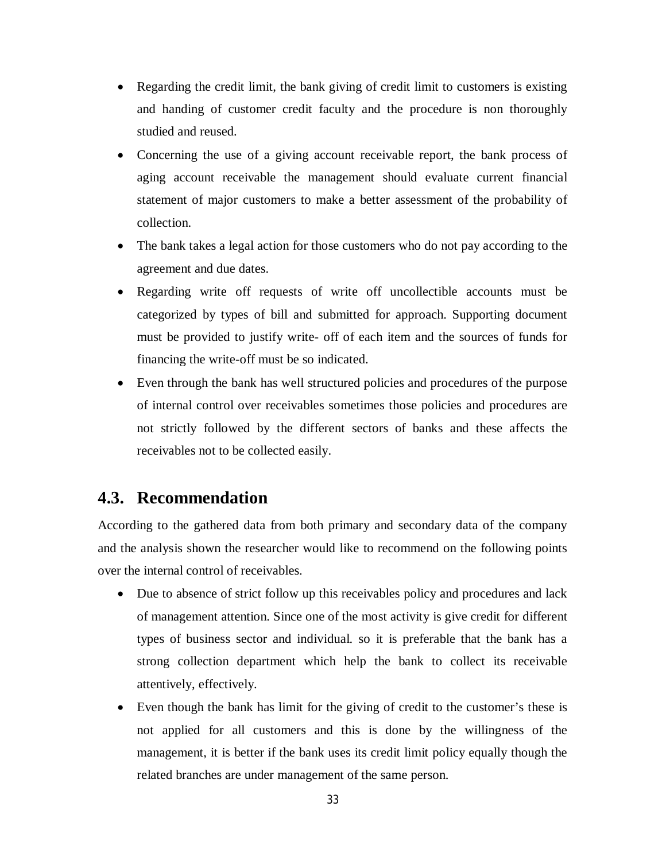- Regarding the credit limit, the bank giving of credit limit to customers is existing and handing of customer credit faculty and the procedure is non thoroughly studied and reused.
- Concerning the use of a giving account receivable report, the bank process of aging account receivable the management should evaluate current financial statement of major customers to make a better assessment of the probability of collection.
- The bank takes a legal action for those customers who do not pay according to the agreement and due dates.
- Regarding write off requests of write off uncollectible accounts must be categorized by types of bill and submitted for approach. Supporting document must be provided to justify write- off of each item and the sources of funds for financing the write-off must be so indicated.
- Even through the bank has well structured policies and procedures of the purpose of internal control over receivables sometimes those policies and procedures are not strictly followed by the different sectors of banks and these affects the receivables not to be collected easily.

## **4.3. Recommendation**

According to the gathered data from both primary and secondary data of the company and the analysis shown the researcher would like to recommend on the following points over the internal control of receivables.

- Due to absence of strict follow up this receivables policy and procedures and lack of management attention. Since one of the most activity is give credit for different types of business sector and individual. so it is preferable that the bank has a strong collection department which help the bank to collect its receivable attentively, effectively.
- Even though the bank has limit for the giving of credit to the customer's these is not applied for all customers and this is done by the willingness of the management, it is better if the bank uses its credit limit policy equally though the related branches are under management of the same person.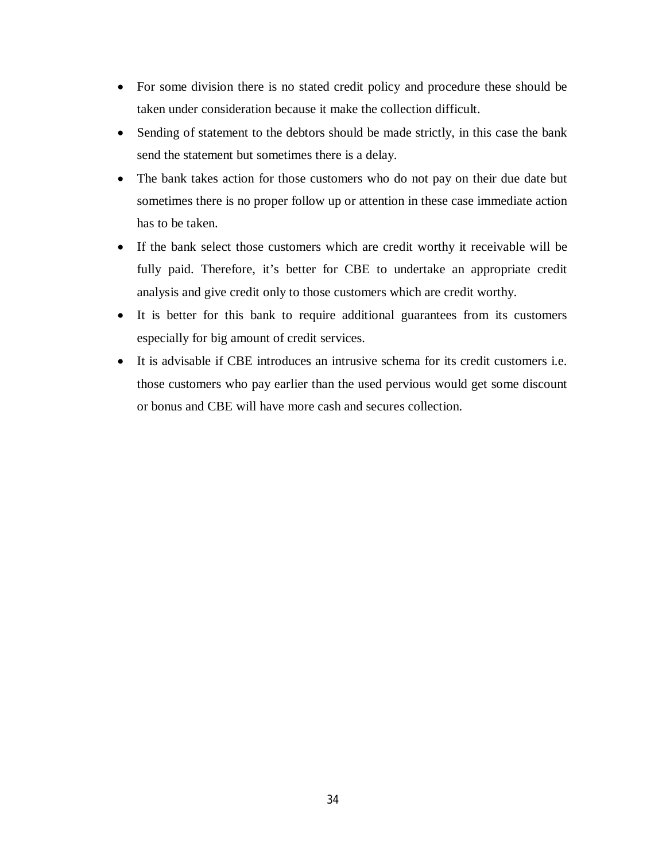- For some division there is no stated credit policy and procedure these should be taken under consideration because it make the collection difficult.
- Sending of statement to the debtors should be made strictly, in this case the bank send the statement but sometimes there is a delay.
- The bank takes action for those customers who do not pay on their due date but sometimes there is no proper follow up or attention in these case immediate action has to be taken.
- If the bank select those customers which are credit worthy it receivable will be fully paid. Therefore, it's better for CBE to undertake an appropriate credit analysis and give credit only to those customers which are credit worthy.
- It is better for this bank to require additional guarantees from its customers especially for big amount of credit services.
- It is advisable if CBE introduces an intrusive schema for its credit customers i.e. those customers who pay earlier than the used pervious would get some discount or bonus and CBE will have more cash and secures collection.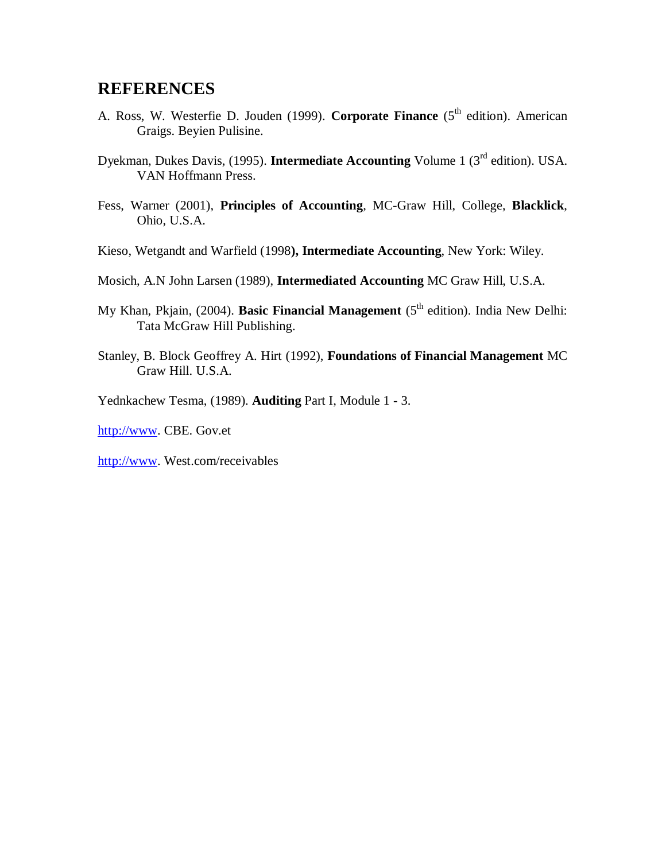### **REFERENCES**

- A. Ross, W. Westerfie D. Jouden (1999). **Corporate Finance** (5<sup>th</sup> edition). American Graigs. Beyien Pulisine.
- Dyekman, Dukes Davis, (1995). **Intermediate Accounting** Volume 1 (3rd edition). USA. VAN Hoffmann Press.
- Fess, Warner (2001), **Principles of Accounting**, MC-Graw Hill, College, **Blacklick**, Ohio, U.S.A.
- Kieso, Wetgandt and Warfield (1998**), Intermediate Accounting**, New York: Wiley.
- Mosich, A.N John Larsen (1989), **Intermediated Accounting** MC Graw Hill, U.S.A.
- My Khan, Pkjain, (2004). **Basic Financial Management** (5<sup>th</sup> edition). India New Delhi: Tata McGraw Hill Publishing.
- Stanley, B. Block Geoffrey A. Hirt (1992), **Foundations of Financial Management** MC Graw Hill. U.S.A.

Yednkachew Tesma, (1989). **Auditing** Part I, Module 1 - 3.

http://www. CBE. Gov.et

http://www. West.com/receivables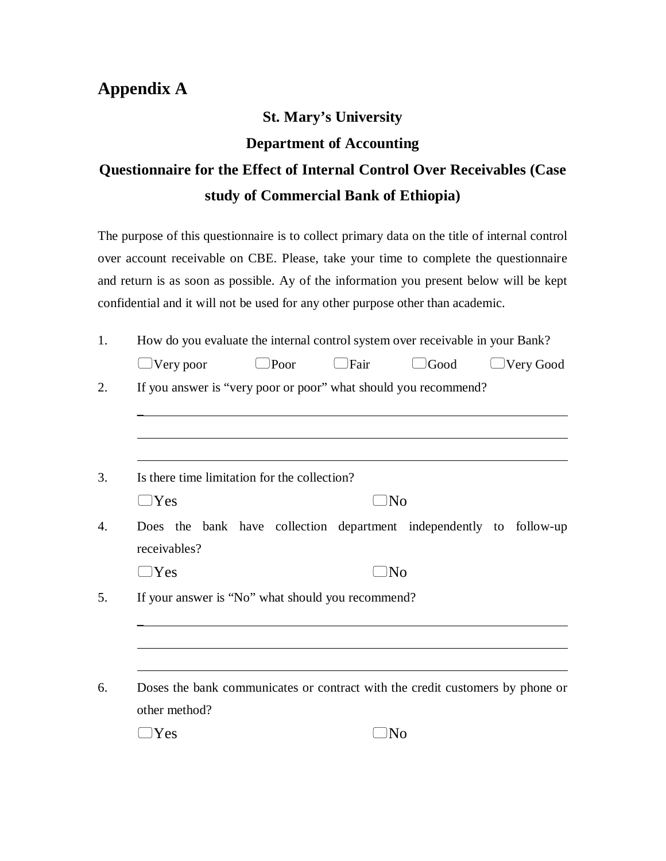## **Appendix A**

## **St. Mary's University**

#### **Department of Accounting**

## **Questionnaire for the Effect of Internal Control Over Receivables (Case study of Commercial Bank of Ethiopia)**

The purpose of this questionnaire is to collect primary data on the title of internal control over account receivable on CBE. Please, take your time to complete the questionnaire and return is as soon as possible. Ay of the information you present below will be kept confidential and it will not be used for any other purpose other than academic.

|                     |                                                   |             |             | How do you evaluate the internal control system over receivable in your Bank? |                  |
|---------------------|---------------------------------------------------|-------------|-------------|-------------------------------------------------------------------------------|------------------|
| $\bigcup$ Very poor |                                                   | $\Box$ Poor | $\Box$ Fair | $\bigcup$ Good                                                                | $\Box$ Very Good |
|                     |                                                   |             |             | If you answer is "very poor or poor" what should you recommend?               |                  |
|                     |                                                   |             |             |                                                                               |                  |
|                     | Is there time limitation for the collection?      |             |             |                                                                               |                  |
| $\Box$ Yes          |                                                   |             | $\Box$ No   |                                                                               |                  |
|                     |                                                   |             |             | Does the bank have collection department independently to follow-up           |                  |
| receivables?        |                                                   |             |             |                                                                               |                  |
| $\Box$ Yes          |                                                   |             | )No         |                                                                               |                  |
|                     | If your answer is "No" what should you recommend? |             |             |                                                                               |                  |
|                     |                                                   |             |             |                                                                               |                  |
|                     |                                                   |             |             | Doses the bank communicates or contract with the credit customers by phone or |                  |
| other method?       |                                                   |             |             |                                                                               |                  |
| Yes                 |                                                   |             | )No         |                                                                               |                  |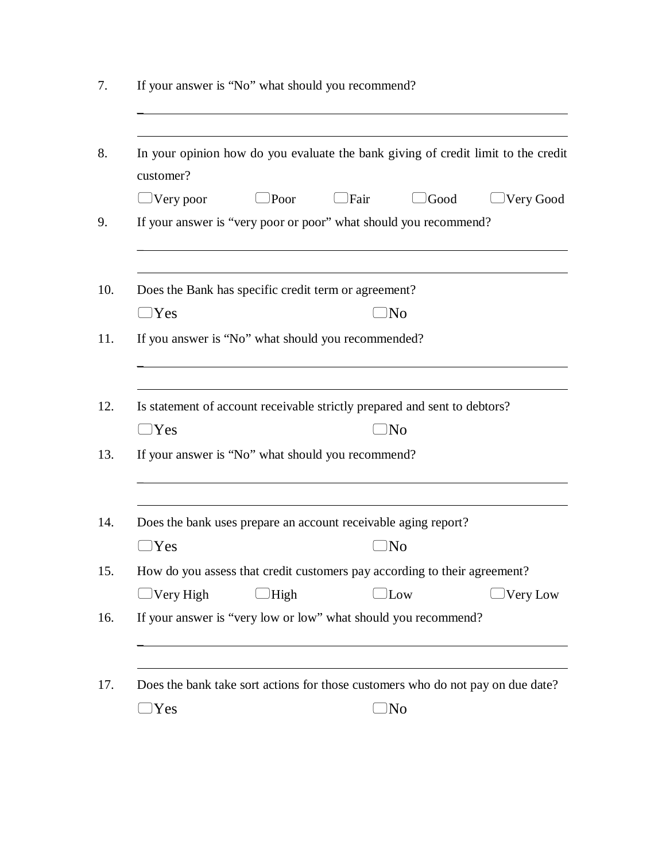| $)$ Poor<br>$\Box$ Fair<br>Good<br>$\bigcup$ Very poor<br>If your answer is "very poor or poor" what should you recommend?<br>Does the Bank has specific credit term or agreement?<br>$\Box$ Yes<br>)No<br>If you answer is "No" what should you recommended?<br>Is statement of account receivable strictly prepared and sent to debtors?<br>$\Box$ Yes<br>)No<br>If your answer is "No" what should you recommend?<br>Does the bank uses prepare an account receivable aging report?<br>Yes<br>)No<br>How do you assess that credit customers pay according to their agreement?<br>$\bigcup$ Very High<br>High<br>Low<br>If your answer is "very low or low" what should you recommend?<br>Does the bank take sort actions for those customers who do not pay on due date? | In your opinion how do you evaluate the bank giving of credit limit to the credit |
|------------------------------------------------------------------------------------------------------------------------------------------------------------------------------------------------------------------------------------------------------------------------------------------------------------------------------------------------------------------------------------------------------------------------------------------------------------------------------------------------------------------------------------------------------------------------------------------------------------------------------------------------------------------------------------------------------------------------------------------------------------------------------|-----------------------------------------------------------------------------------|
|                                                                                                                                                                                                                                                                                                                                                                                                                                                                                                                                                                                                                                                                                                                                                                              | Very Good                                                                         |
|                                                                                                                                                                                                                                                                                                                                                                                                                                                                                                                                                                                                                                                                                                                                                                              |                                                                                   |
|                                                                                                                                                                                                                                                                                                                                                                                                                                                                                                                                                                                                                                                                                                                                                                              |                                                                                   |
|                                                                                                                                                                                                                                                                                                                                                                                                                                                                                                                                                                                                                                                                                                                                                                              |                                                                                   |
|                                                                                                                                                                                                                                                                                                                                                                                                                                                                                                                                                                                                                                                                                                                                                                              |                                                                                   |
|                                                                                                                                                                                                                                                                                                                                                                                                                                                                                                                                                                                                                                                                                                                                                                              |                                                                                   |
|                                                                                                                                                                                                                                                                                                                                                                                                                                                                                                                                                                                                                                                                                                                                                                              |                                                                                   |
|                                                                                                                                                                                                                                                                                                                                                                                                                                                                                                                                                                                                                                                                                                                                                                              |                                                                                   |
|                                                                                                                                                                                                                                                                                                                                                                                                                                                                                                                                                                                                                                                                                                                                                                              |                                                                                   |
|                                                                                                                                                                                                                                                                                                                                                                                                                                                                                                                                                                                                                                                                                                                                                                              | Very Low                                                                          |
|                                                                                                                                                                                                                                                                                                                                                                                                                                                                                                                                                                                                                                                                                                                                                                              |                                                                                   |
|                                                                                                                                                                                                                                                                                                                                                                                                                                                                                                                                                                                                                                                                                                                                                                              |                                                                                   |
| )No<br>Yes                                                                                                                                                                                                                                                                                                                                                                                                                                                                                                                                                                                                                                                                                                                                                                   |                                                                                   |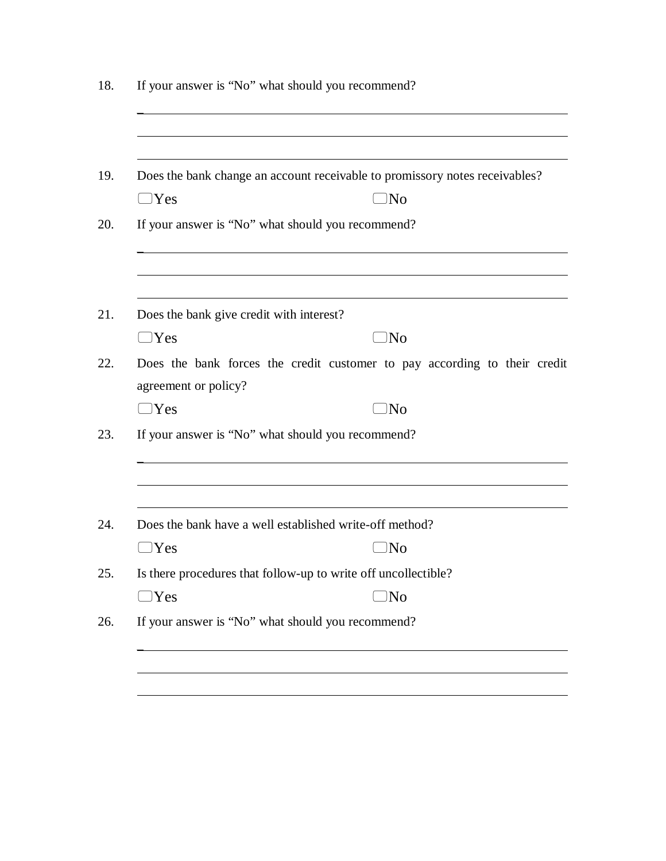|                                          | Does the bank change an account receivable to promissory notes receivables? |  |  |  |  |  |
|------------------------------------------|-----------------------------------------------------------------------------|--|--|--|--|--|
| $\Box$ Yes<br>$\square$ No               |                                                                             |  |  |  |  |  |
|                                          | If your answer is "No" what should you recommend?                           |  |  |  |  |  |
| Does the bank give credit with interest? |                                                                             |  |  |  |  |  |
| $\Box$ Yes                               | )No                                                                         |  |  |  |  |  |
| agreement or policy?                     | Does the bank forces the credit customer to pay according to their credit   |  |  |  |  |  |
| $\Box$ Yes                               | $\Box$ No                                                                   |  |  |  |  |  |
|                                          | If your answer is "No" what should you recommend?                           |  |  |  |  |  |
|                                          | Does the bank have a well established write-off method?                     |  |  |  |  |  |
| )Yes                                     | )No                                                                         |  |  |  |  |  |
|                                          | Is there procedures that follow-up to write off uncollectible?              |  |  |  |  |  |
| $\Box$ Yes                               | $\Box$ No                                                                   |  |  |  |  |  |
|                                          | If your answer is "No" what should you recommend?                           |  |  |  |  |  |

18. If your answer is "No" what should you recommend?